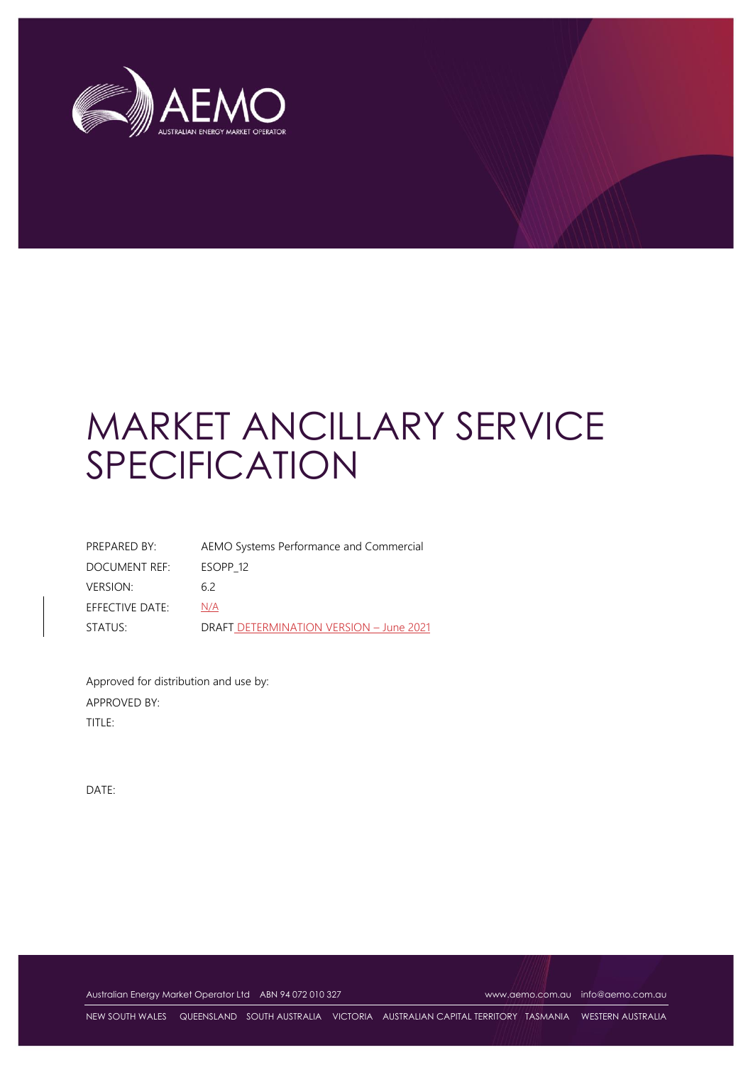

| PREPARED BY:    | AEMO Systems Performance and Commercial |
|-----------------|-----------------------------------------|
| DOCUMENT REF:   | ESOPP <sub>12</sub>                     |
| <b>VERSION:</b> | 62                                      |
| EFFECTIVE DATE: | N/A                                     |
| STATUS:         | DRAFT DETERMINATION VERSION - June 2021 |

Approved for distribution and use by: APPROVED BY: TITLE:

DATE:

Australian Energy Market Operator Ltd ABN 94 072 010 327 [www.aemo.com.au](http://www.aemo.com.au/) [info@aemo.com.au](mailto:info@aemo.com.au)

NEW SOUTH WALES QUEENSLAND SOUTH AUSTRALIA VICTORIA AUSTRALIAN CAPITAL TERRITORY TASMANIA WESTERN AUSTRALIA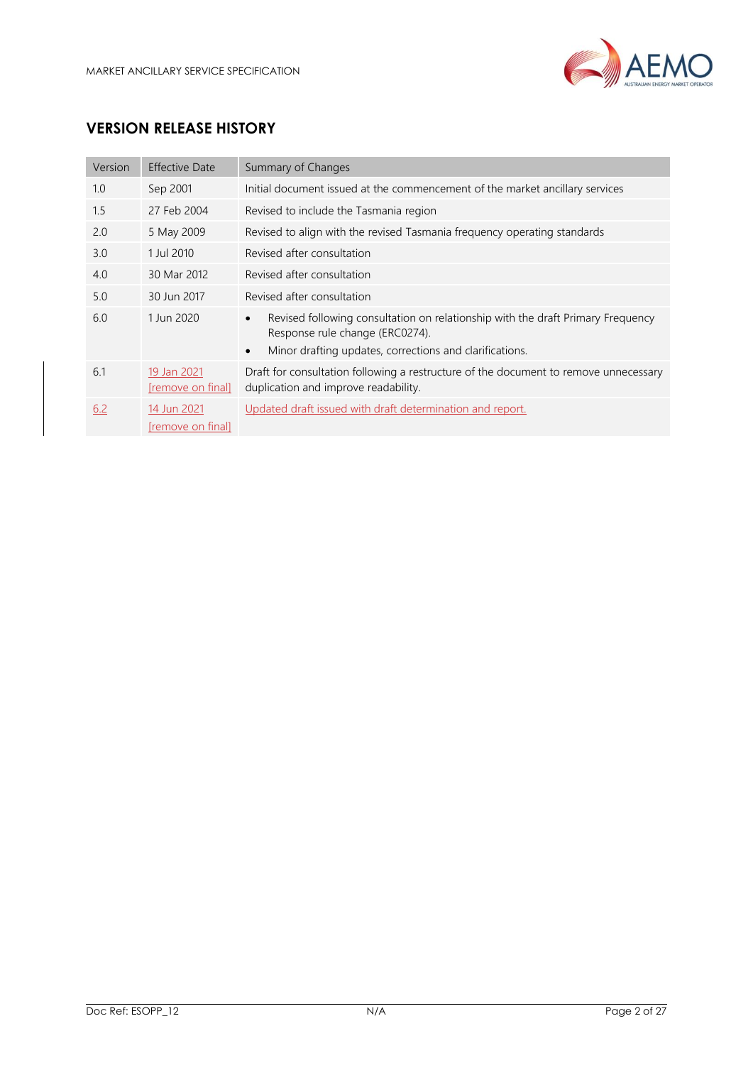

# **VERSION RELEASE HISTORY**

| Version | <b>Effective Date</b>            | Summary of Changes                                                                                                                                                                                      |
|---------|----------------------------------|---------------------------------------------------------------------------------------------------------------------------------------------------------------------------------------------------------|
| 1.0     | Sep 2001                         | Initial document issued at the commencement of the market ancillary services                                                                                                                            |
| 1.5     | 27 Feb 2004                      | Revised to include the Tasmania region                                                                                                                                                                  |
| 2.0     | 5 May 2009                       | Revised to align with the revised Tasmania frequency operating standards                                                                                                                                |
| 3.0     | 1 Jul 2010                       | Revised after consultation                                                                                                                                                                              |
| 4.0     | 30 Mar 2012                      | Revised after consultation                                                                                                                                                                              |
| 5.0     | 30 Jun 2017                      | Revised after consultation                                                                                                                                                                              |
| 6.0     | 1 Jun 2020                       | Revised following consultation on relationship with the draft Primary Frequency<br>$\bullet$<br>Response rule change (ERC0274).<br>Minor drafting updates, corrections and clarifications.<br>$\bullet$ |
| 6.1     | 19 Jan 2021<br>[remove on final] | Draft for consultation following a restructure of the document to remove unnecessary<br>duplication and improve readability.                                                                            |
| 6.2     | 14 Jun 2021<br>[remove on final] | Updated draft issued with draft determination and report.                                                                                                                                               |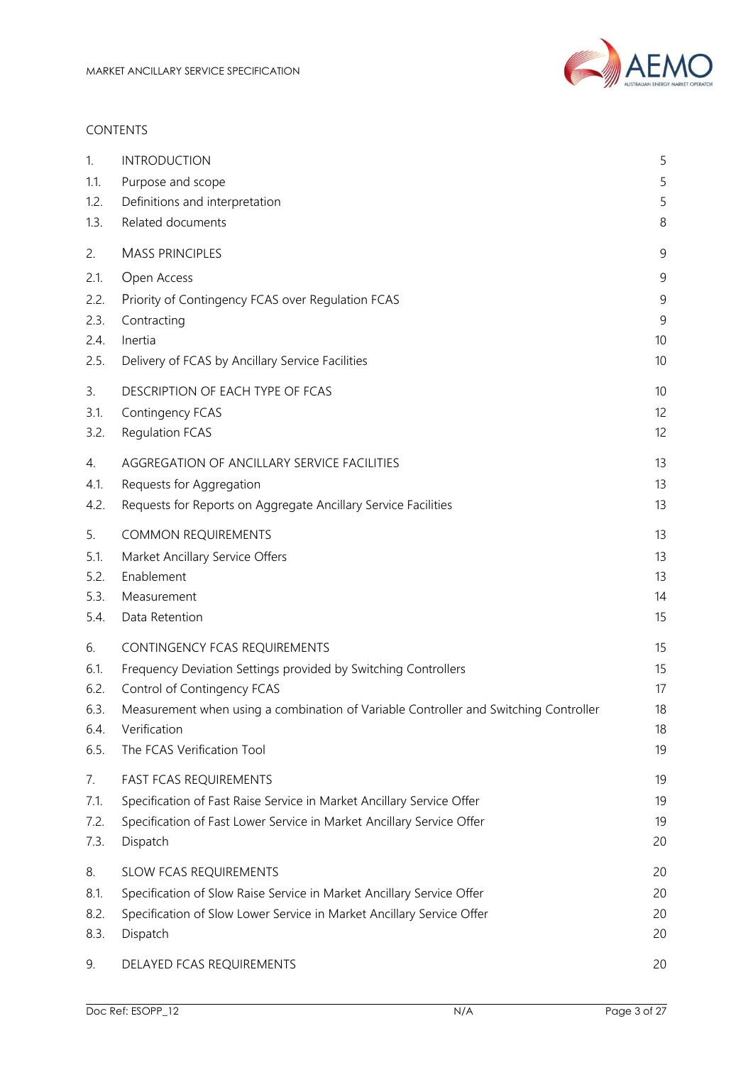

#### CONTENTS

| 1.   | <b>INTRODUCTION</b>                                                                  | 5  |
|------|--------------------------------------------------------------------------------------|----|
| 1.1. | Purpose and scope                                                                    | 5  |
| 1.2. | Definitions and interpretation                                                       | 5  |
| 1.3. | Related documents                                                                    | 8  |
| 2.   | <b>MASS PRINCIPLES</b>                                                               | 9  |
| 2.1. | Open Access                                                                          | 9  |
| 2.2. | Priority of Contingency FCAS over Regulation FCAS                                    | 9  |
| 2.3. | Contracting                                                                          | 9  |
| 2.4. | Inertia                                                                              | 10 |
| 2.5. | Delivery of FCAS by Ancillary Service Facilities                                     | 10 |
| 3.   | DESCRIPTION OF EACH TYPE OF FCAS                                                     | 10 |
| 3.1. | Contingency FCAS                                                                     | 12 |
| 3.2. | <b>Regulation FCAS</b>                                                               | 12 |
| 4.   | AGGREGATION OF ANCILLARY SERVICE FACILITIES                                          | 13 |
| 4.1. | Requests for Aggregation                                                             | 13 |
| 4.2. | Requests for Reports on Aggregate Ancillary Service Facilities                       | 13 |
| 5.   | <b>COMMON REQUIREMENTS</b>                                                           | 13 |
| 5.1. | Market Ancillary Service Offers                                                      | 13 |
| 5.2. | Enablement                                                                           | 13 |
| 5.3. | Measurement                                                                          | 14 |
| 5.4. | Data Retention                                                                       | 15 |
| 6.   | CONTINGENCY FCAS REQUIREMENTS                                                        | 15 |
| 6.1. | Frequency Deviation Settings provided by Switching Controllers                       | 15 |
| 6.2. | Control of Contingency FCAS                                                          | 17 |
| 6.3. | Measurement when using a combination of Variable Controller and Switching Controller | 18 |
| 6.4. | Verification                                                                         | 18 |
| 6.5. | The FCAS Verification Tool                                                           | 19 |
| 7.   | <b>FAST FCAS REQUIREMENTS</b>                                                        | 19 |
| 7.1. | Specification of Fast Raise Service in Market Ancillary Service Offer                | 19 |
| 7.2. | Specification of Fast Lower Service in Market Ancillary Service Offer                | 19 |
| 7.3. | Dispatch                                                                             | 20 |
| 8.   | <b>SLOW FCAS REQUIREMENTS</b>                                                        | 20 |
| 8.1. | Specification of Slow Raise Service in Market Ancillary Service Offer                | 20 |
| 8.2. | Specification of Slow Lower Service in Market Ancillary Service Offer                | 20 |
| 8.3. | Dispatch                                                                             | 20 |
| 9.   | DELAYED FCAS REQUIREMENTS                                                            | 20 |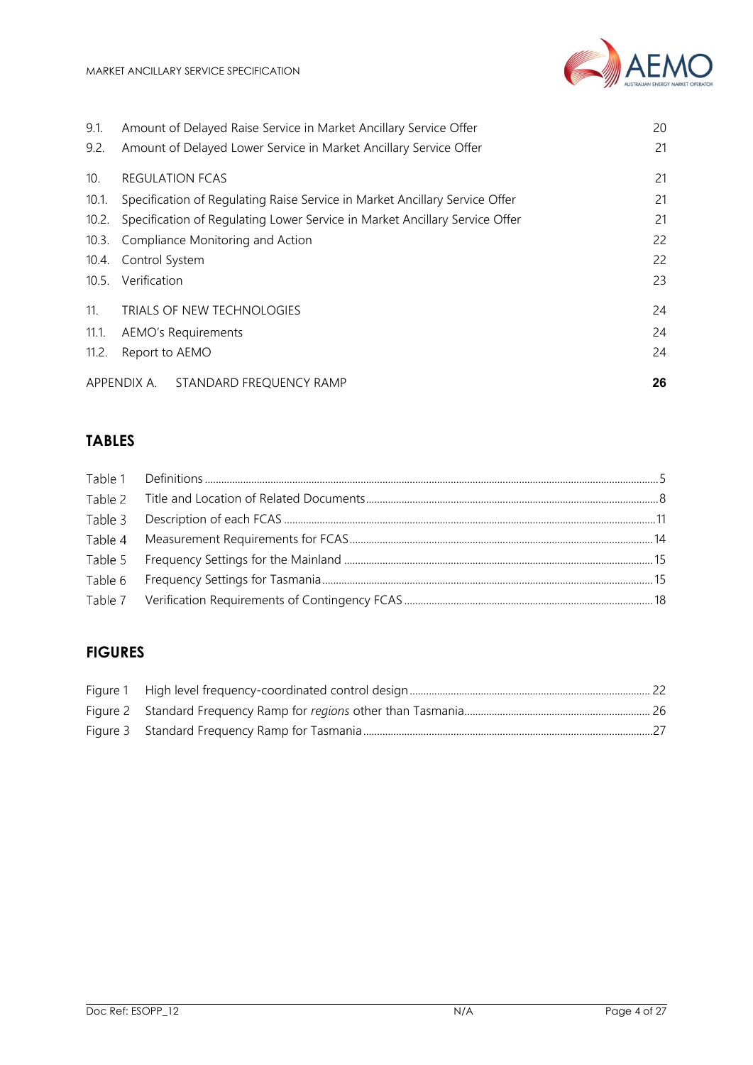

| 9.1.  | Amount of Delayed Raise Service in Market Ancillary Service Offer           | 20 |
|-------|-----------------------------------------------------------------------------|----|
| 9.2.  | Amount of Delayed Lower Service in Market Ancillary Service Offer           | 21 |
| 10.   | <b>REGULATION FCAS</b>                                                      | 21 |
| 10.1. | Specification of Regulating Raise Service in Market Ancillary Service Offer | 21 |
| 10.2. | Specification of Regulating Lower Service in Market Ancillary Service Offer | 21 |
| 10.3. | 22<br>Compliance Monitoring and Action                                      |    |
| 10.4. | Control System                                                              | 22 |
|       | 10.5. Verification                                                          | 23 |
| 11.   | TRIALS OF NEW TECHNOLOGIES                                                  | 24 |
| 11.1. | AEMO's Requirements                                                         | 24 |
| 11.2. | Report to AEMO                                                              | 24 |
|       | APPENDIX A.<br>STANDARD FREQUENCY RAMP                                      | 26 |

# **TABLES**

### **FIGURES**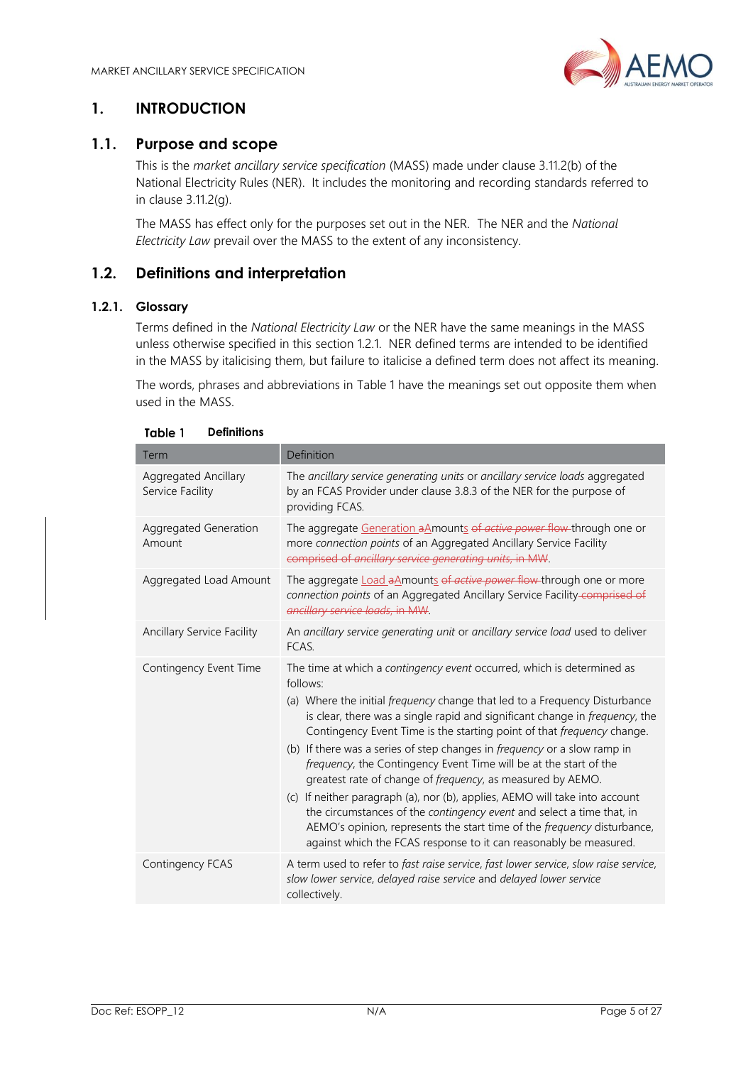

### <span id="page-4-0"></span>**1. INTRODUCTION**

### <span id="page-4-1"></span>**1.1. Purpose and scope**

This is the *market ancillary service specification* (MASS) made under clause 3.11.2(b) of the National Electricity Rules (NER). It includes the monitoring and recording standards referred to in clause 3.11.2(g).

The MASS has effect only for the purposes set out in the NER. The NER and the *National Electricity Law* prevail over the MASS to the extent of any inconsistency.

### <span id="page-4-2"></span>**1.2. Definitions and interpretation**

#### <span id="page-4-4"></span>**1.2.1. Glossary**

Terms defined in the *National Electricity Law* or the NER have the same meanings in the MASS unless otherwise specified in this section [1.2.1.](#page-4-4) NER defined terms are intended to be identified in the MASS by italicising them, but failure to italicise a defined term does not affect its meaning.

The words, phrases and abbreviations in [Table 1](#page-4-3) have the meanings set out opposite them when used in the MASS.

<span id="page-4-3"></span>

| Term                                     | Definition                                                                                                                                                                                                                                                                                                                                                                                                                                                                                                                                                                                                                                                                                                                                                                                                                                       |
|------------------------------------------|--------------------------------------------------------------------------------------------------------------------------------------------------------------------------------------------------------------------------------------------------------------------------------------------------------------------------------------------------------------------------------------------------------------------------------------------------------------------------------------------------------------------------------------------------------------------------------------------------------------------------------------------------------------------------------------------------------------------------------------------------------------------------------------------------------------------------------------------------|
| Aggregated Ancillary<br>Service Facility | The ancillary service generating units or ancillary service loads aggregated<br>by an FCAS Provider under clause 3.8.3 of the NER for the purpose of<br>providing FCAS.                                                                                                                                                                                                                                                                                                                                                                                                                                                                                                                                                                                                                                                                          |
| Aggregated Generation<br>Amount          | The aggregate Generation aAmounts of active power flow-through one or<br>more connection points of an Aggregated Ancillary Service Facility<br>comprised of ancillary service generating units, in MW.                                                                                                                                                                                                                                                                                                                                                                                                                                                                                                                                                                                                                                           |
| Aggregated Load Amount                   | The aggregate <b>Load a Amounts of active power flow</b> through one or more<br>connection points of an Aggregated Ancillary Service Facility-comprised of<br>ancillary service loads, in MW.                                                                                                                                                                                                                                                                                                                                                                                                                                                                                                                                                                                                                                                    |
| Ancillary Service Facility               | An ancillary service generating unit or ancillary service load used to deliver<br>FCAS.                                                                                                                                                                                                                                                                                                                                                                                                                                                                                                                                                                                                                                                                                                                                                          |
| Contingency Event Time                   | The time at which a contingency event occurred, which is determined as<br>follows:<br>(a) Where the initial frequency change that led to a Frequency Disturbance<br>is clear, there was a single rapid and significant change in frequency, the<br>Contingency Event Time is the starting point of that frequency change.<br>(b) If there was a series of step changes in frequency or a slow ramp in<br>frequency, the Contingency Event Time will be at the start of the<br>greatest rate of change of frequency, as measured by AEMO.<br>(c) If neither paragraph (a), nor (b), applies, AEMO will take into account<br>the circumstances of the contingency event and select a time that, in<br>AEMO's opinion, represents the start time of the frequency disturbance,<br>against which the FCAS response to it can reasonably be measured. |
| Contingency FCAS                         | A term used to refer to fast raise service, fast lower service, slow raise service,<br>slow lower service, delayed raise service and delayed lower service<br>collectively.                                                                                                                                                                                                                                                                                                                                                                                                                                                                                                                                                                                                                                                                      |

#### Table 1 **Definitions**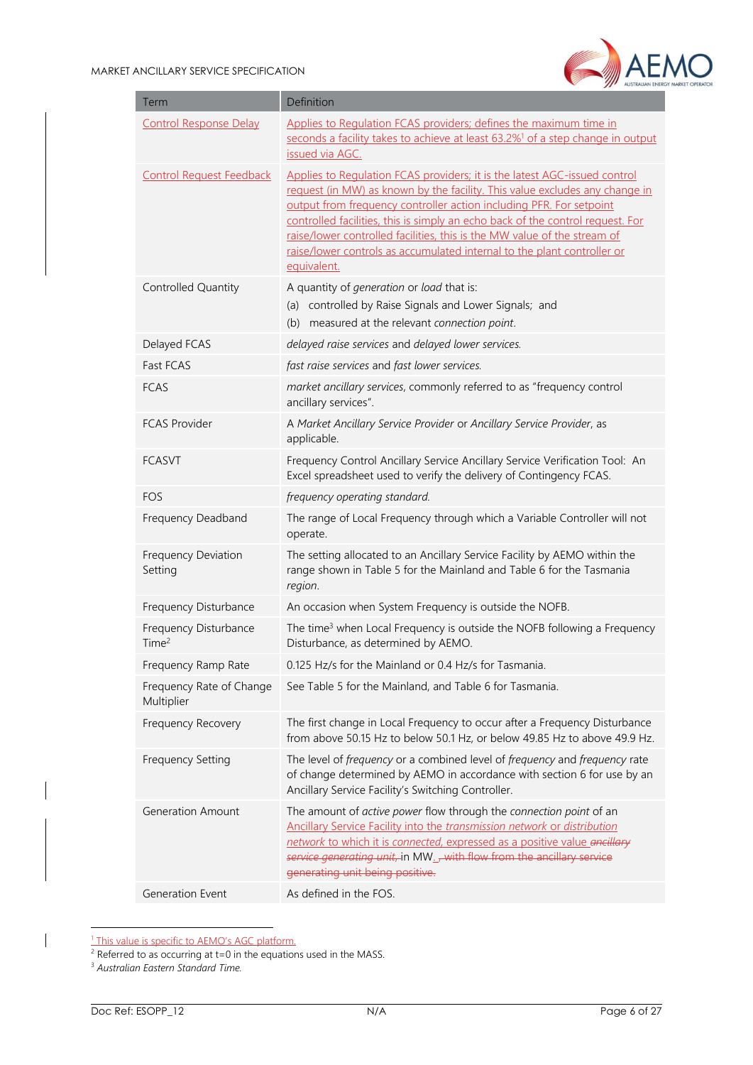

| Term                                       | Definition                                                                                                                                                                                                                                                                                                                                                                                                                                                                              |
|--------------------------------------------|-----------------------------------------------------------------------------------------------------------------------------------------------------------------------------------------------------------------------------------------------------------------------------------------------------------------------------------------------------------------------------------------------------------------------------------------------------------------------------------------|
| <b>Control Response Delay</b>              | Applies to Regulation FCAS providers; defines the maximum time in<br>seconds a facility takes to achieve at least 63.2% <sup>1</sup> of a step change in output<br>issued via AGC.                                                                                                                                                                                                                                                                                                      |
| <b>Control Request Feedback</b>            | Applies to Regulation FCAS providers; it is the latest AGC-issued control<br>request (in MW) as known by the facility. This value excludes any change in<br>output from frequency controller action including PFR. For setpoint<br>controlled facilities, this is simply an echo back of the control request. For<br>raise/lower controlled facilities, this is the MW value of the stream of<br>raise/lower controls as accumulated internal to the plant controller or<br>equivalent. |
| Controlled Quantity                        | A quantity of generation or load that is:<br>(a) controlled by Raise Signals and Lower Signals; and<br>measured at the relevant connection point.<br>(b)                                                                                                                                                                                                                                                                                                                                |
| Delayed FCAS                               | delayed raise services and delayed lower services.                                                                                                                                                                                                                                                                                                                                                                                                                                      |
| Fast FCAS                                  | fast raise services and fast lower services.                                                                                                                                                                                                                                                                                                                                                                                                                                            |
| <b>FCAS</b>                                | market ancillary services, commonly referred to as "frequency control<br>ancillary services".                                                                                                                                                                                                                                                                                                                                                                                           |
| <b>FCAS Provider</b>                       | A Market Ancillary Service Provider or Ancillary Service Provider, as<br>applicable.                                                                                                                                                                                                                                                                                                                                                                                                    |
| <b>FCASVT</b>                              | Frequency Control Ancillary Service Ancillary Service Verification Tool: An<br>Excel spreadsheet used to verify the delivery of Contingency FCAS.                                                                                                                                                                                                                                                                                                                                       |
| <b>FOS</b>                                 | frequency operating standard.                                                                                                                                                                                                                                                                                                                                                                                                                                                           |
| Frequency Deadband                         | The range of Local Frequency through which a Variable Controller will not<br>operate.                                                                                                                                                                                                                                                                                                                                                                                                   |
| Frequency Deviation<br>Setting             | The setting allocated to an Ancillary Service Facility by AEMO within the<br>range shown in Table 5 for the Mainland and Table 6 for the Tasmania<br>region.                                                                                                                                                                                                                                                                                                                            |
| Frequency Disturbance                      | An occasion when System Frequency is outside the NOFB.                                                                                                                                                                                                                                                                                                                                                                                                                                  |
| Frequency Disturbance<br>Time <sup>2</sup> | The time <sup>3</sup> when Local Frequency is outside the NOFB following a Frequency<br>Disturbance, as determined by AEMO.                                                                                                                                                                                                                                                                                                                                                             |
| Frequency Ramp Rate                        | 0.125 Hz/s for the Mainland or 0.4 Hz/s for Tasmania.                                                                                                                                                                                                                                                                                                                                                                                                                                   |
| Frequency Rate of Change<br>Multiplier     | See Table 5 for the Mainland, and Table 6 for Tasmania.                                                                                                                                                                                                                                                                                                                                                                                                                                 |
| Frequency Recovery                         | The first change in Local Frequency to occur after a Frequency Disturbance<br>from above 50.15 Hz to below 50.1 Hz, or below 49.85 Hz to above 49.9 Hz.                                                                                                                                                                                                                                                                                                                                 |
| <b>Frequency Setting</b>                   | The level of frequency or a combined level of frequency and frequency rate<br>of change determined by AEMO in accordance with section 6 for use by an<br>Ancillary Service Facility's Switching Controller.                                                                                                                                                                                                                                                                             |
| <b>Generation Amount</b>                   | The amount of active power flow through the connection point of an<br>Ancillary Service Facility into the transmission network or distribution<br>network to which it is connected, expressed as a positive value ancillary<br>service generating unit, in MW. with flow from the ancillary service<br>generating unit being positive.                                                                                                                                                  |
| Generation Event                           | As defined in the FOS.                                                                                                                                                                                                                                                                                                                                                                                                                                                                  |

<sup>&</sup>lt;sup>1</sup> This value is specific to AEMO's AGC platform.

 $2$  Referred to as occurring at t=0 in the equations used in the MASS.

<sup>3</sup> *Australian Eastern Standard Time.*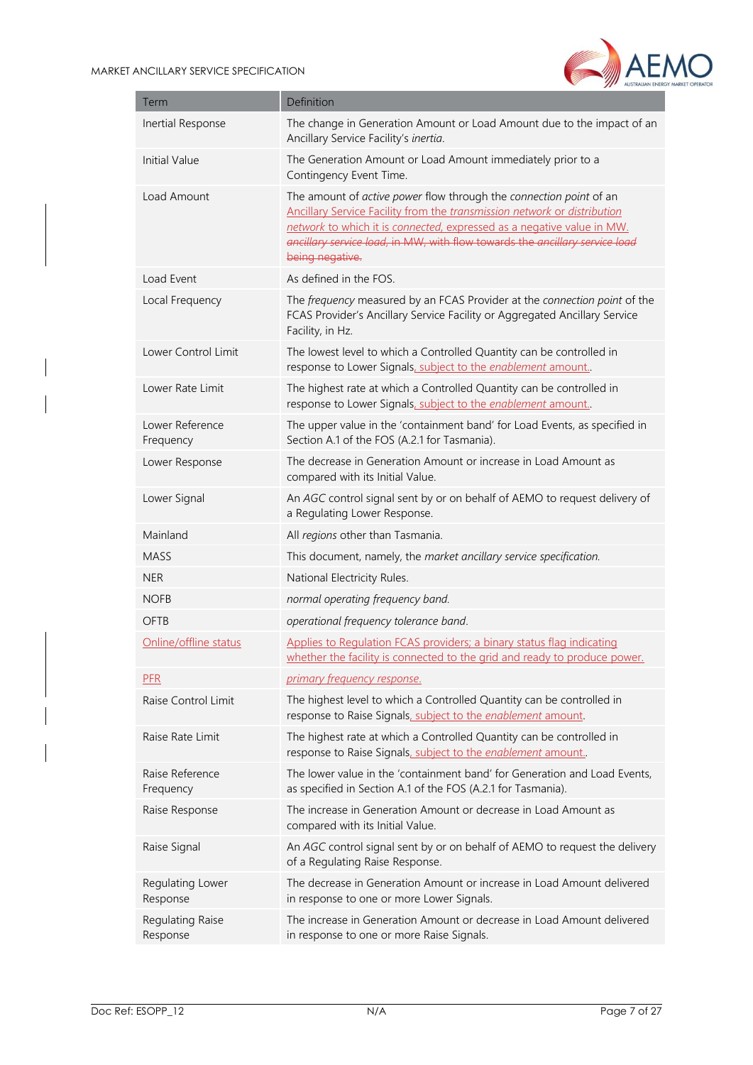

| Term                         | Definition                                                                                                                                                                                                                                                                                                                 |
|------------------------------|----------------------------------------------------------------------------------------------------------------------------------------------------------------------------------------------------------------------------------------------------------------------------------------------------------------------------|
| Inertial Response            | The change in Generation Amount or Load Amount due to the impact of an<br>Ancillary Service Facility's inertia.                                                                                                                                                                                                            |
| Initial Value                | The Generation Amount or Load Amount immediately prior to a<br>Contingency Event Time.                                                                                                                                                                                                                                     |
| Load Amount                  | The amount of active power flow through the connection point of an<br>Ancillary Service Facility from the transmission network or distribution<br>network to which it is connected, expressed as a negative value in MW.<br>ancillary service load, in MW, with flow towards the ancillary service load<br>being negative. |
| Load Event                   | As defined in the FOS.                                                                                                                                                                                                                                                                                                     |
| Local Frequency              | The frequency measured by an FCAS Provider at the connection point of the<br>FCAS Provider's Ancillary Service Facility or Aggregated Ancillary Service<br>Facility, in Hz.                                                                                                                                                |
| Lower Control Limit          | The lowest level to which a Controlled Quantity can be controlled in<br>response to Lower Signals, subject to the enablement amount.                                                                                                                                                                                       |
| Lower Rate Limit             | The highest rate at which a Controlled Quantity can be controlled in<br>response to Lower Signals, subject to the enablement amount                                                                                                                                                                                        |
| Lower Reference<br>Frequency | The upper value in the 'containment band' for Load Events, as specified in<br>Section A.1 of the FOS (A.2.1 for Tasmania).                                                                                                                                                                                                 |
| Lower Response               | The decrease in Generation Amount or increase in Load Amount as<br>compared with its Initial Value.                                                                                                                                                                                                                        |
| Lower Signal                 | An AGC control signal sent by or on behalf of AEMO to request delivery of<br>a Regulating Lower Response.                                                                                                                                                                                                                  |
| Mainland                     | All regions other than Tasmania.                                                                                                                                                                                                                                                                                           |
| <b>MASS</b>                  | This document, namely, the market ancillary service specification.                                                                                                                                                                                                                                                         |
| <b>NER</b>                   | National Electricity Rules.                                                                                                                                                                                                                                                                                                |
| <b>NOFB</b>                  | normal operating frequency band.                                                                                                                                                                                                                                                                                           |
| OFTB                         | operational frequency tolerance band.                                                                                                                                                                                                                                                                                      |
| Online/offline status        | Applies to Regulation FCAS providers; a binary status flag indicating<br>whether the facility is connected to the grid and ready to produce power.                                                                                                                                                                         |
| <b>PFR</b>                   | primary frequency response.                                                                                                                                                                                                                                                                                                |
| Raise Control Limit          | The highest level to which a Controlled Quantity can be controlled in<br>response to Raise Signals, subject to the enablement amount.                                                                                                                                                                                      |
| Raise Rate Limit             | The highest rate at which a Controlled Quantity can be controlled in<br>response to Raise Signals, subject to the enablement amount                                                                                                                                                                                        |
| Raise Reference<br>Frequency | The lower value in the 'containment band' for Generation and Load Events,<br>as specified in Section A.1 of the FOS (A.2.1 for Tasmania).                                                                                                                                                                                  |
| Raise Response               | The increase in Generation Amount or decrease in Load Amount as<br>compared with its Initial Value.                                                                                                                                                                                                                        |
| Raise Signal                 | An AGC control signal sent by or on behalf of AEMO to request the delivery<br>of a Regulating Raise Response.                                                                                                                                                                                                              |
| Regulating Lower<br>Response | The decrease in Generation Amount or increase in Load Amount delivered<br>in response to one or more Lower Signals.                                                                                                                                                                                                        |
| Regulating Raise<br>Response | The increase in Generation Amount or decrease in Load Amount delivered<br>in response to one or more Raise Signals.                                                                                                                                                                                                        |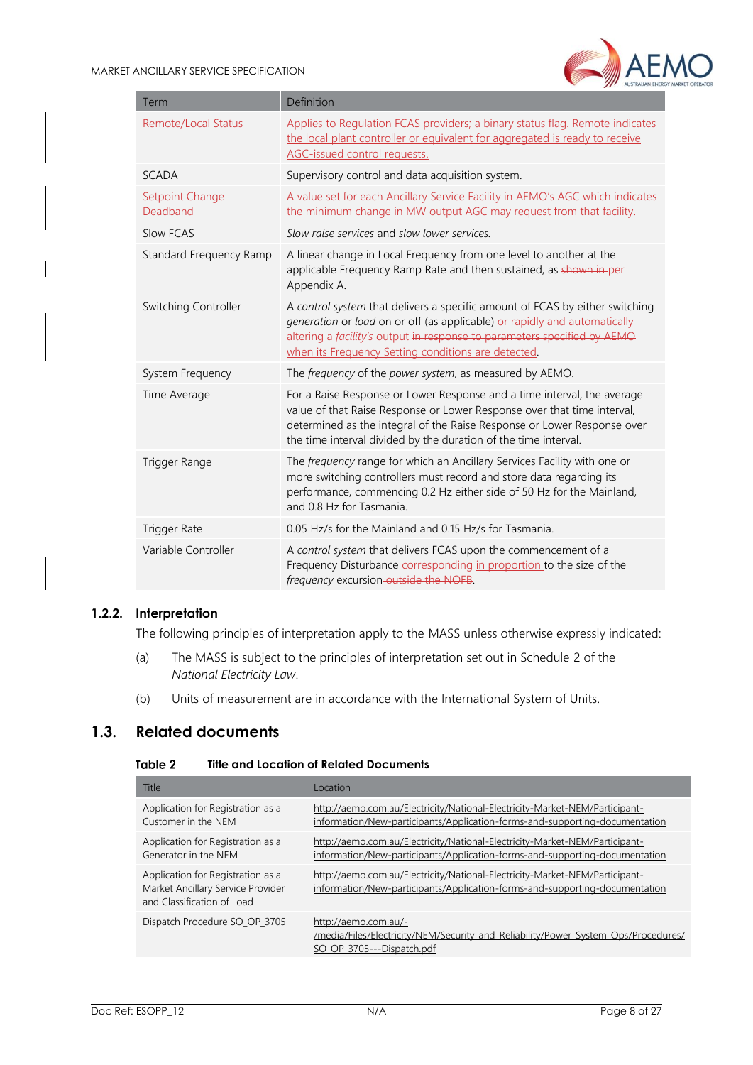

| Term                               | Definition                                                                                                                                                                                                                                                                                       |
|------------------------------------|--------------------------------------------------------------------------------------------------------------------------------------------------------------------------------------------------------------------------------------------------------------------------------------------------|
| Remote/Local Status                | Applies to Regulation FCAS providers; a binary status flag. Remote indicates<br>the local plant controller or equivalent for aggregated is ready to receive<br>AGC-issued control requests.                                                                                                      |
| <b>SCADA</b>                       | Supervisory control and data acquisition system.                                                                                                                                                                                                                                                 |
| <b>Setpoint Change</b><br>Deadband | A value set for each Ancillary Service Facility in AEMO's AGC which indicates<br>the minimum change in MW output AGC may request from that facility.                                                                                                                                             |
| Slow FCAS                          | Slow raise services and slow lower services.                                                                                                                                                                                                                                                     |
| Standard Frequency Ramp            | A linear change in Local Frequency from one level to another at the<br>applicable Frequency Ramp Rate and then sustained, as shown in-per<br>Appendix A.                                                                                                                                         |
| Switching Controller               | A control system that delivers a specific amount of FCAS by either switching<br>generation or load on or off (as applicable) or rapidly and automatically<br>altering a facility's output in response to parameters specified by AEMO<br>when its Frequency Setting conditions are detected.     |
| System Frequency                   | The frequency of the power system, as measured by AEMO.                                                                                                                                                                                                                                          |
| Time Average                       | For a Raise Response or Lower Response and a time interval, the average<br>value of that Raise Response or Lower Response over that time interval,<br>determined as the integral of the Raise Response or Lower Response over<br>the time interval divided by the duration of the time interval. |
| Trigger Range                      | The frequency range for which an Ancillary Services Facility with one or<br>more switching controllers must record and store data regarding its<br>performance, commencing 0.2 Hz either side of 50 Hz for the Mainland,<br>and 0.8 Hz for Tasmania.                                             |
| <b>Trigger Rate</b>                | 0.05 Hz/s for the Mainland and 0.15 Hz/s for Tasmania.                                                                                                                                                                                                                                           |
| Variable Controller                | A control system that delivers FCAS upon the commencement of a<br>Frequency Disturbance corresponding in proportion to the size of the<br>frequency excursion-outside the NOFB.                                                                                                                  |

#### **1.2.2. Interpretation**

The following principles of interpretation apply to the MASS unless otherwise expressly indicated:

- (a) The MASS is subject to the principles of interpretation set out in Schedule 2 of the *National Electricity Law*.
- (b) Units of measurement are in accordance with the International System of Units.

### <span id="page-7-1"></span><span id="page-7-0"></span>**1.3. Related documents**

#### Table 2 **Title and Location of Related Documents**

| Title                                                                                                | Location                                                                                                                                                   |
|------------------------------------------------------------------------------------------------------|------------------------------------------------------------------------------------------------------------------------------------------------------------|
| Application for Registration as a<br>Customer in the NEM                                             | http://aemo.com.au/Electricity/National-Electricity-Market-NEM/Participant-<br>information/New-participants/Application-forms-and-supporting-documentation |
| Application for Registration as a<br>Generator in the NEM                                            | http://aemo.com.au/Electricity/National-Electricity-Market-NEM/Participant-<br>information/New-participants/Application-forms-and-supporting-documentation |
| Application for Registration as a<br>Market Ancillary Service Provider<br>and Classification of Load | http://aemo.com.au/Electricity/National-Electricity-Market-NEM/Participant-<br>information/New-participants/Application-forms-and-supporting-documentation |
| Dispatch Procedure SO OP 3705                                                                        | http://aemo.com.au/-<br>/media/Files/Electricity/NEM/Security and Reliability/Power System Ops/Procedures/<br>SO OP 3705---Dispatch.pdf                    |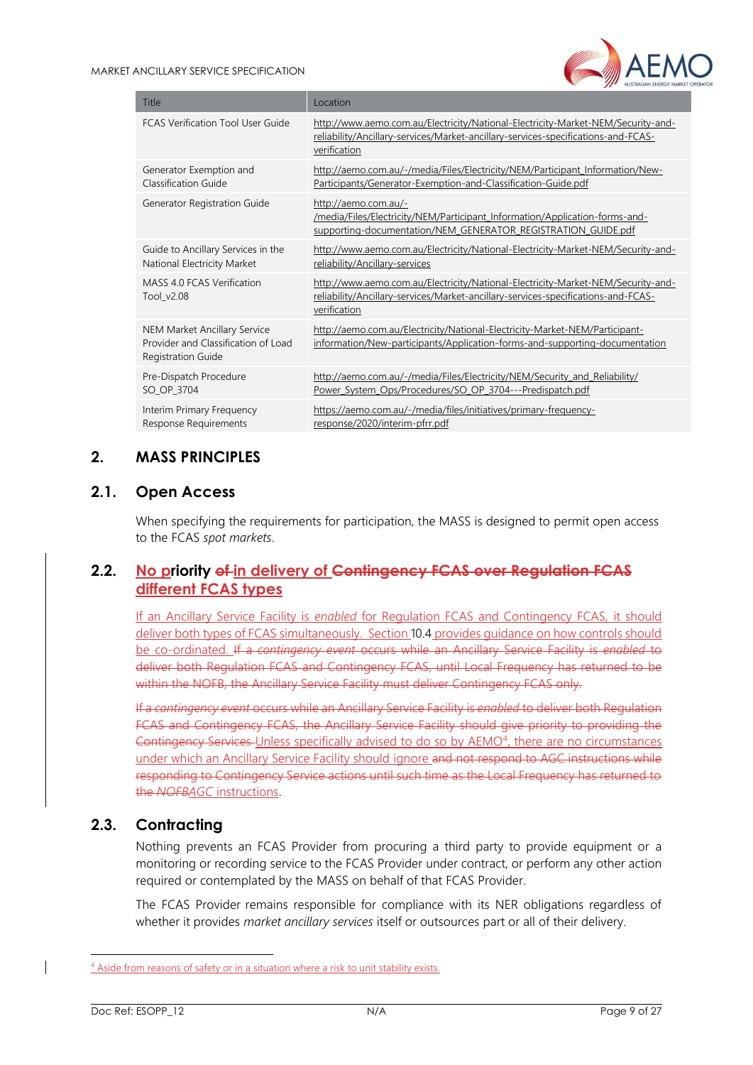

| Title                                                                                                   | Location                                                                                                                                                                              |
|---------------------------------------------------------------------------------------------------------|---------------------------------------------------------------------------------------------------------------------------------------------------------------------------------------|
| <b>FCAS Verification Tool User Guide</b>                                                                | http://www.aemo.com.au/Electricity/National-Electricity-Market-NEM/Security-and-<br>reliability/Ancillary-services/Market-ancillary-services-specifications-and-FCAS-<br>verification |
| Generator Exemption and<br>Classification Guide                                                         | http://aemo.com.au/-/media/Files/Electricity/NEM/Participant Information/New-<br>Participants/Generator-Exemption-and-Classification-Guide.pdf                                        |
| Generator Registration Guide                                                                            | http://aemo.com.au/-<br>/media/Files/Electricity/NEM/Participant Information/Application-forms-and-<br>supporting-documentation/NEM GENERATOR REGISTRATION GUIDE.pdf                  |
| Guide to Ancillary Services in the<br>National Electricity Market                                       | http://www.aemo.com.au/Electricity/National-Electricity-Market-NEM/Security-and-<br>reliability/Ancillary-services                                                                    |
| MASS 4.0 FCAS Verification<br>Tool v2.08                                                                | http://www.aemo.com.au/Electricity/National-Electricity-Market-NEM/Security-and-<br>reliability/Ancillary-services/Market-ancillary-services-specifications-and-FCAS-<br>verification |
| <b>NEM Market Ancillary Service</b><br>Provider and Classification of Load<br><b>Registration Guide</b> | http://aemo.com.au/Electricity/National-Electricity-Market-NEM/Participant-<br>information/New-participants/Application-forms-and-supporting-documentation                            |
| Pre-Dispatch Procedure<br>SO OP 3704                                                                    | http://aemo.com.au/-/media/Files/Electricity/NEM/Security and Reliability/<br>Power System Ops/Procedures/SO OP 3704---Predispatch.pdf                                                |
| Interim Primary Frequency<br>Response Requirements                                                      | https://aemo.com.au/-/media/files/initiatives/primary-frequency-<br>response/2020/interim-pfrr.pdf                                                                                    |

### <span id="page-8-0"></span>**2. MASS PRINCIPLES**

### <span id="page-8-1"></span>**2.1. Open Access**

When specifying the requirements for participation, the MASS is designed to permit open access to the FCAS *spot markets*.

### <span id="page-8-2"></span>**2.2. No priority of in delivery of Contingency FCAS over Regulation FCAS different FCAS types**

If an Ancillary Service Facility is *enabled* for Regulation FCAS and Contingency FCAS, it should deliver both types of FCAS simultaneously. Sectio[n 10.4](#page-21-1) provides guidance on how controls should be co-ordinated. If a *contingency event* occurs while an Ancillary Service Facility is *enabled* to deliver both Regulation FCAS and Contingency FCAS, until Local Frequency has returned to be within the NOFB, the Ancillary Service Facility must deliver Contingency FCAS only.

If a *contingency event* occurs while an Ancillary Service Facility is *enabled* to deliver both Regulation FCAS and Contingency FCAS, the Ancillary Service Facility should give priority to providing the Contingency Services Unless specifically advised to do so by AEMO<sup>4</sup>, there are no circumstances under which an Ancillary Service Facility should ignore and not respond to AGC instructions while responding to Contingency Service actions until such time as the Local Frequency has returned to the *NOFBAGC* instructions.

### <span id="page-8-3"></span>**2.3. Contracting**

Nothing prevents an FCAS Provider from procuring a third party to provide equipment or a monitoring or recording service to the FCAS Provider under contract, or perform any other action required or contemplated by the MASS on behalf of that FCAS Provider.

The FCAS Provider remains responsible for compliance with its NER obligations regardless of whether it provides *market ancillary services* itself or outsources part or all of their delivery.

<sup>&</sup>lt;sup>4</sup> Aside from reasons of safety or in a situation where a risk to unit stability exists.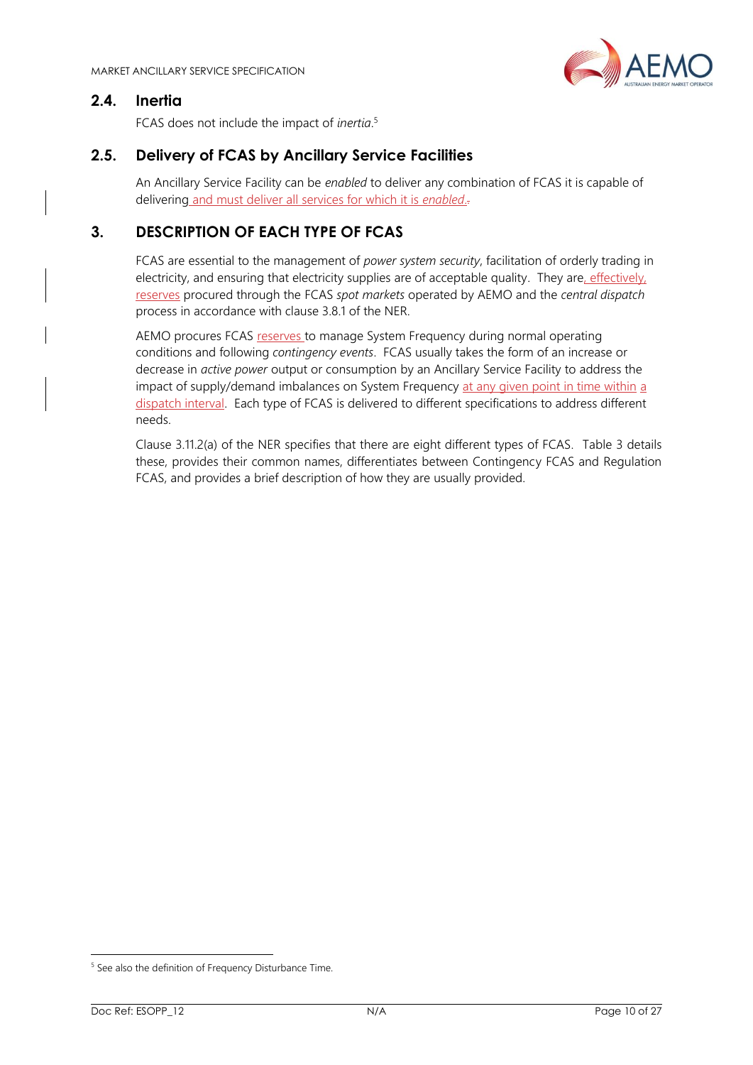

### <span id="page-9-0"></span>**2.4. Inertia**

FCAS does not include the impact of *inertia*. 5

### <span id="page-9-1"></span>**2.5. Delivery of FCAS by Ancillary Service Facilities**

An Ancillary Service Facility can be *enabled* to deliver any combination of FCAS it is capable of delivering and must deliver all services for which it is *enabled*..

## <span id="page-9-2"></span>**3. DESCRIPTION OF EACH TYPE OF FCAS**

FCAS are essential to the management of *power system security*, facilitation of orderly trading in electricity, and ensuring that electricity supplies are of acceptable quality. They are, effectively, reserves procured through the FCAS *spot markets* operated by AEMO and the *central dispatch* process in accordance with clause 3.8.1 of the NER.

AEMO procures FCAS reserves to manage System Frequency during normal operating conditions and following *contingency events*. FCAS usually takes the form of an increase or decrease in *active power* output or consumption by an Ancillary Service Facility to address the impact of supply/demand imbalances on System Frequency at any given point in time within a dispatch interval. Each type of FCAS is delivered to different specifications to address different needs.

Clause 3.11.2(a) of the NER specifies that there are eight different types of FCAS*.* Table [3](#page-9-2) details these, provides their common names, differentiates between Contingency FCAS and Regulation FCAS, and provides a brief description of how they are usually provided.

<sup>&</sup>lt;sup>5</sup> See also the definition of Frequency Disturbance Time.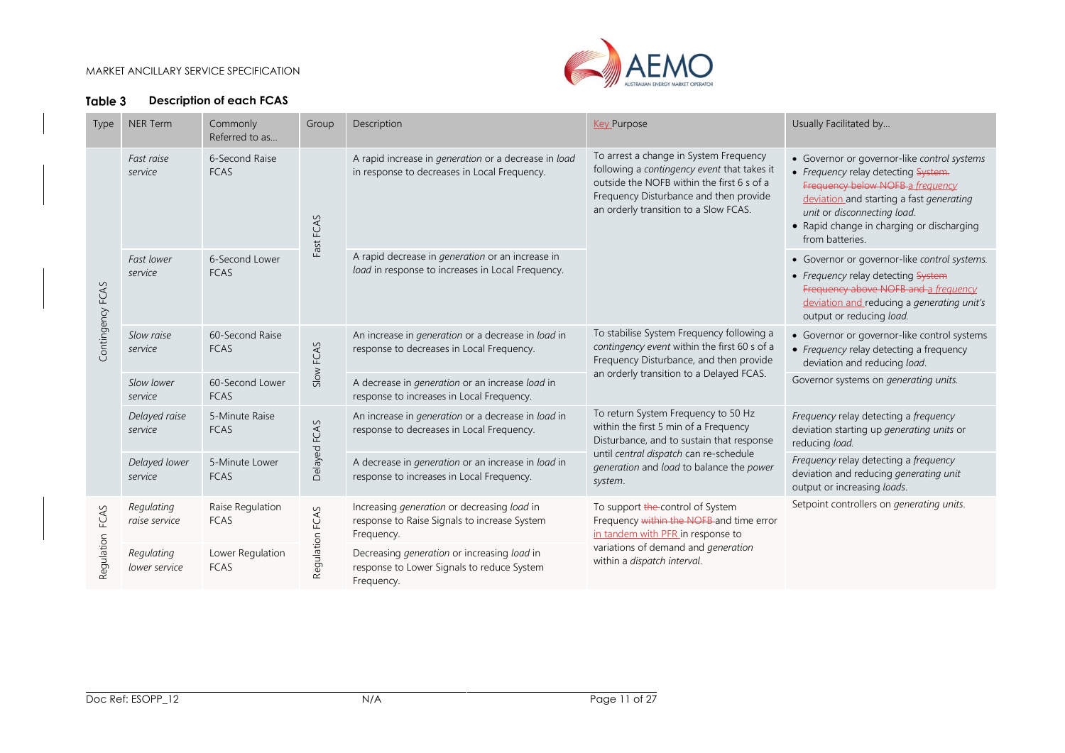

### **Description of each FCAS**

<span id="page-10-0"></span>

| <b>Type</b>        | NER Term                    | Commonly<br>Referred to as      | Group           | Description                                                                                                  | <b>Key Purpose</b>                                                                                                                                                                                                     | Usually Facilitated by                                                                                                                                                                                                                                            |
|--------------------|-----------------------------|---------------------------------|-----------------|--------------------------------------------------------------------------------------------------------------|------------------------------------------------------------------------------------------------------------------------------------------------------------------------------------------------------------------------|-------------------------------------------------------------------------------------------------------------------------------------------------------------------------------------------------------------------------------------------------------------------|
| Contingency FCAS   | Fast raise<br>service       | 6-Second Raise<br><b>FCAS</b>   | Fast FCAS       | A rapid increase in generation or a decrease in load<br>in response to decreases in Local Frequency.         | To arrest a change in System Frequency<br>following a contingency event that takes it<br>outside the NOFB within the first 6 s of a<br>Frequency Disturbance and then provide<br>an orderly transition to a Slow FCAS. | • Governor or governor-like control systems<br>• Frequency relay detecting System.<br>Frequency below NOFB a frequency<br>deviation and starting a fast generating<br>unit or disconnecting load.<br>• Rapid change in charging or discharging<br>from batteries. |
|                    | Fast lower<br>service       | 6-Second Lower<br><b>FCAS</b>   |                 | A rapid decrease in <i>generation</i> or an increase in<br>load in response to increases in Local Frequency. |                                                                                                                                                                                                                        | • Governor or governor-like control systems.<br>• Frequency relay detecting System<br>Frequency above NOFB and a frequency<br>deviation and reducing a generating unit's<br>output or reducing load.                                                              |
|                    | Slow raise<br>service       | 60-Second Raise<br><b>FCAS</b>  | Slow FCAS       | An increase in generation or a decrease in load in<br>response to decreases in Local Frequency.              | To stabilise System Frequency following a<br>contingency event within the first 60 s of a<br>Frequency Disturbance, and then provide                                                                                   | • Governor or governor-like control systems<br>• Frequency relay detecting a frequency<br>deviation and reducing load.                                                                                                                                            |
|                    | Slow lower<br>service       | 60-Second Lower<br><b>FCAS</b>  |                 | A decrease in generation or an increase load in<br>response to increases in Local Frequency.                 | an orderly transition to a Delayed FCAS.                                                                                                                                                                               | Governor systems on generating units.                                                                                                                                                                                                                             |
|                    | Delayed raise<br>service    | 5-Minute Raise<br><b>FCAS</b>   | Delayed FCAS    | An increase in generation or a decrease in load in<br>response to decreases in Local Frequency.              | To return System Frequency to 50 Hz<br>within the first 5 min of a Frequency<br>Disturbance, and to sustain that response                                                                                              | Frequency relay detecting a frequency<br>deviation starting up generating units or<br>reducing load.                                                                                                                                                              |
|                    | Delayed lower<br>service    | 5-Minute Lower<br><b>FCAS</b>   |                 | A decrease in generation or an increase in load in<br>response to increases in Local Frequency.              | until central dispatch can re-schedule<br>generation and load to balance the power<br>system.                                                                                                                          | Frequency relay detecting a frequency<br>deviation and reducing generating unit<br>output or increasing loads.                                                                                                                                                    |
| FCAS<br>Regulation | Regulating<br>raise service | Raise Regulation<br><b>FCAS</b> | Regulation FCAS | Increasing generation or decreasing load in<br>response to Raise Signals to increase System<br>Frequency.    | To support the-control of System<br>Frequency within the NOFB and time error<br>in tandem with PFR in response to                                                                                                      | Setpoint controllers on generating units.                                                                                                                                                                                                                         |
|                    | Regulating<br>lower service | Lower Regulation<br><b>FCAS</b> |                 | Decreasing generation or increasing load in<br>response to Lower Signals to reduce System<br>Frequency.      | variations of demand and generation<br>within a dispatch interval.                                                                                                                                                     |                                                                                                                                                                                                                                                                   |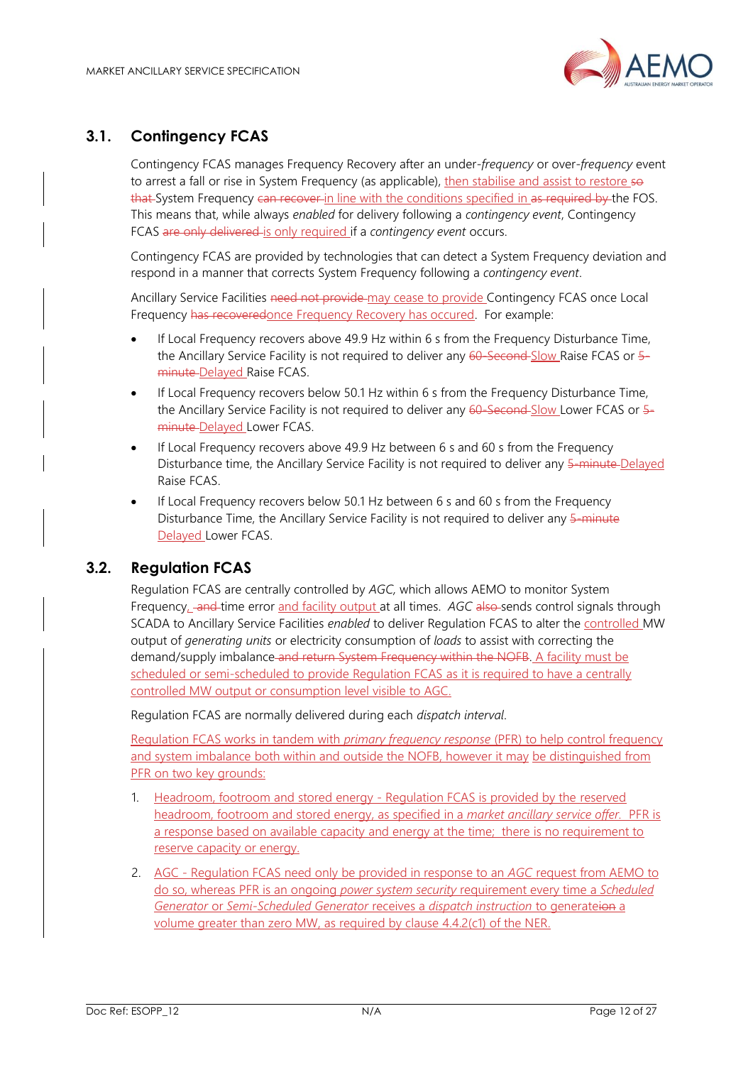

### <span id="page-11-0"></span>**3.1. Contingency FCAS**

Contingency FCAS manages Frequency Recovery after an under-*frequency* or over-*frequency* event to arrest a fall or rise in System Frequency (as applicable), then stabilise and assist to restore so that System Frequency can recover in line with the conditions specified in as required by the FOS. This means that, while always *enabled* for delivery following a *contingency event*, Contingency FCAS are only delivered is only required if a *contingency event* occurs.

Contingency FCAS are provided by technologies that can detect a System Frequency deviation and respond in a manner that corrects System Frequency following a *contingency event*.

Ancillary Service Facilities need not provide may cease to provide Contingency FCAS once Local Frequency has recoveredonce Frequency Recovery has occured. For example:

- If Local Frequency recovers above 49.9 Hz within 6 s from the Frequency Disturbance Time, the Ancillary Service Facility is not required to deliver any 60-Second Slow Raise FCAS or 5minute Delayed Raise FCAS.
- If Local Frequency recovers below 50.1 Hz within 6 s from the Frequency Disturbance Time, the Ancillary Service Facility is not required to deliver any 60-Second-Slow Lower FCAS or 5minute Delayed Lower FCAS.
- If Local Frequency recovers above 49.9 Hz between 6 s and 60 s from the Frequency Disturbance time, the Ancillary Service Facility is not required to deliver any 5-minute Delayed Raise FCAS.
- If Local Frequency recovers below 50.1 Hz between 6 s and 60 s from the Frequency Disturbance Time, the Ancillary Service Facility is not required to deliver any 5-minute Delayed Lower FCAS.

### <span id="page-11-1"></span>**3.2. Regulation FCAS**

Regulation FCAS are centrally controlled by *AGC,* which allows AEMO to monitor System Frequency, and time error and facility output at all times. AGC also sends control signals through SCADA to Ancillary Service Facilities *enabled* to deliver Regulation FCAS to alter the controlled MW output of *generating units* or electricity consumption of *loads* to assist with correcting the demand/supply imbalance and return System Frequency within the NOFB. A facility must be scheduled or semi-scheduled to provide Regulation FCAS as it is required to have a centrally controlled MW output or consumption level visible to AGC.

Regulation FCAS are normally delivered during each *dispatch interval*.

Regulation FCAS works in tandem with *primary frequency response* (PFR) to help control frequency and system imbalance both within and outside the NOFB, however it may be distinguished from PFR on two key grounds:

- 1. Headroom, footroom and stored energy Regulation FCAS is provided by the reserved headroom, footroom and stored energy, as specified in a *market ancillary service offer.* PFR is a response based on available capacity and energy at the time; there is no requirement to reserve capacity or energy.
- 2. AGC Regulation FCAS need only be provided in response to an *AGC* request from AEMO to do so, whereas PFR is an ongoing *power system security* requirement every time a *Scheduled Generator* or *Semi-Scheduled Generator* receives a *dispatch instruction* to generateion a volume greater than zero MW, as required by clause 4.4.2(c1) of the NER.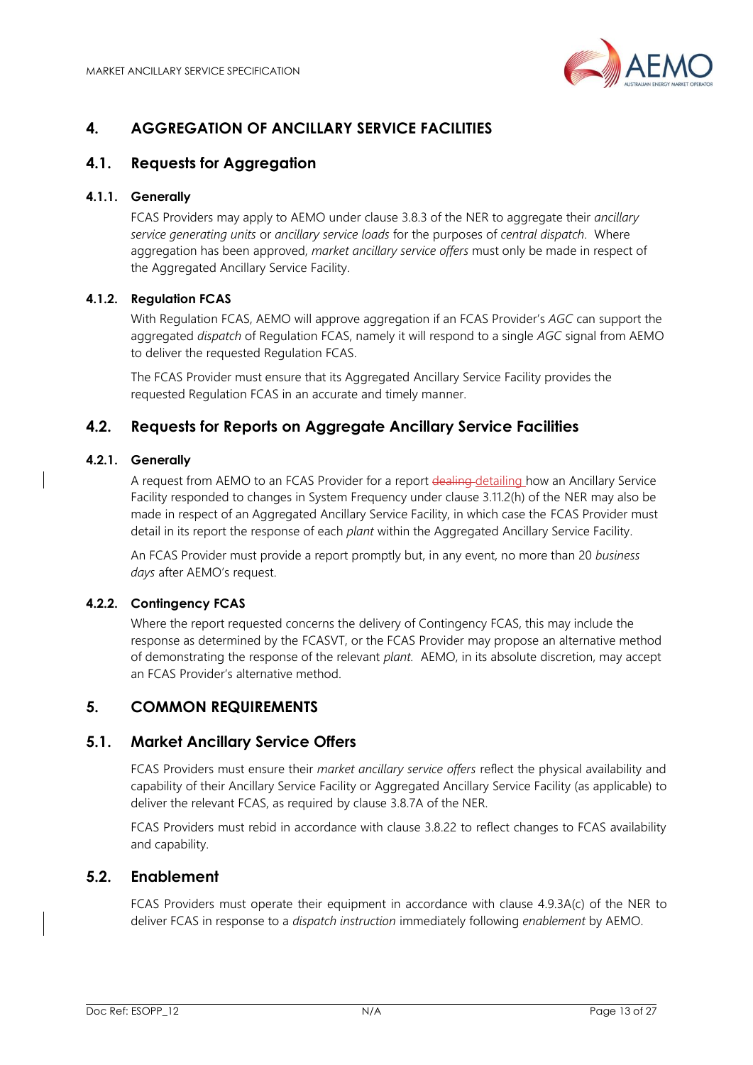

# <span id="page-12-0"></span>**4. AGGREGATION OF ANCILLARY SERVICE FACILITIES**

### <span id="page-12-1"></span>**4.1. Requests for Aggregation**

### **4.1.1. Generally**

FCAS Providers may apply to AEMO under clause 3.8.3 of the NER to aggregate their *ancillary service generating units* or *ancillary service loads* for the purposes of *central dispatch*. Where aggregation has been approved, *market ancillary service offers* must only be made in respect of the Aggregated Ancillary Service Facility.

### **4.1.2. Regulation FCAS**

With Regulation FCAS, AEMO will approve aggregation if an FCAS Provider's *AGC* can support the aggregated *dispatch* of Regulation FCAS, namely it will respond to a single *AGC* signal from AEMO to deliver the requested Regulation FCAS.

The FCAS Provider must ensure that its Aggregated Ancillary Service Facility provides the requested Regulation FCAS in an accurate and timely manner.

### <span id="page-12-2"></span>**4.2. Requests for Reports on Aggregate Ancillary Service Facilities**

#### **4.2.1. Generally**

A request from AEMO to an FCAS Provider for a report dealing-detailing how an Ancillary Service Facility responded to changes in System Frequency under clause 3.11.2(h) of the NER may also be made in respect of an Aggregated Ancillary Service Facility, in which case the FCAS Provider must detail in its report the response of each *plant* within the Aggregated Ancillary Service Facility.

An FCAS Provider must provide a report promptly but, in any event, no more than 20 *business days* after AEMO's request.

#### **4.2.2. Contingency FCAS**

Where the report requested concerns the delivery of Contingency FCAS, this may include the response as determined by the FCASVT, or the FCAS Provider may propose an alternative method of demonstrating the response of the relevant *plant.* AEMO, in its absolute discretion, may accept an FCAS Provider's alternative method.

### <span id="page-12-3"></span>**5. COMMON REQUIREMENTS**

### <span id="page-12-4"></span>**5.1. Market Ancillary Service Offers**

FCAS Providers must ensure their *market ancillary service offers* reflect the physical availability and capability of their Ancillary Service Facility or Aggregated Ancillary Service Facility (as applicable) to deliver the relevant FCAS, as required by clause 3.8.7A of the NER.

FCAS Providers must rebid in accordance with clause 3.8.22 to reflect changes to FCAS availability and capability.

### <span id="page-12-5"></span>**5.2. Enablement**

FCAS Providers must operate their equipment in accordance with clause 4.9.3A(c) of the NER to deliver FCAS in response to a *dispatch instruction* immediately following *enablement* by AEMO.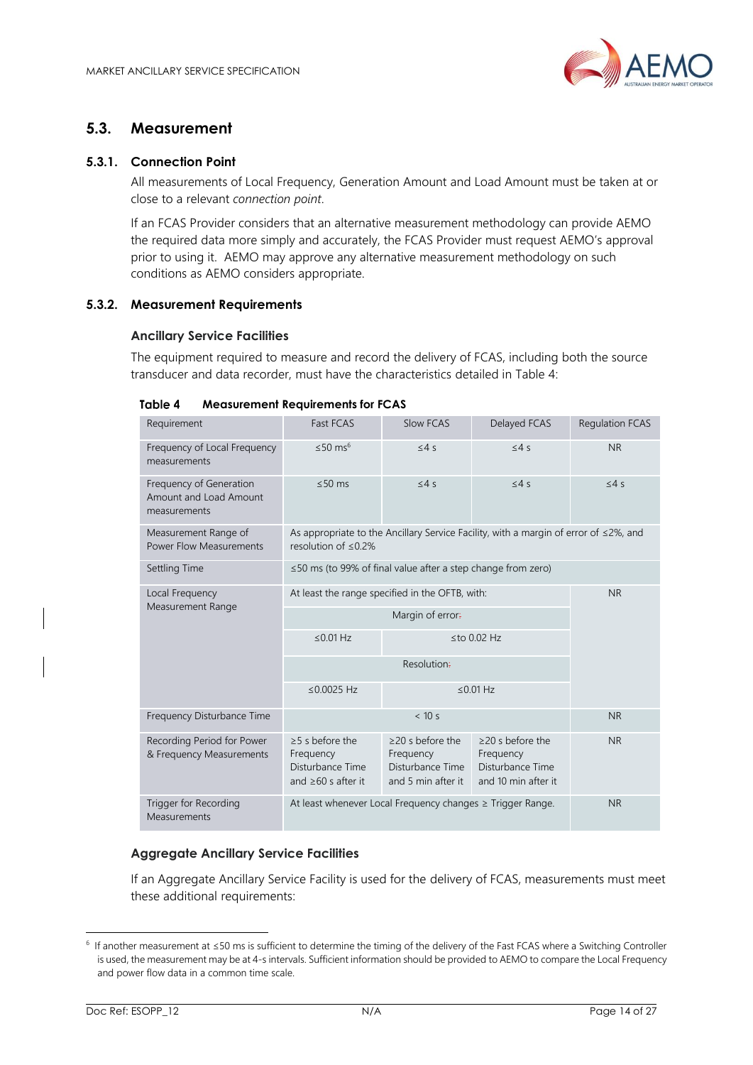

### <span id="page-13-0"></span>**5.3. Measurement**

#### **5.3.1. Connection Point**

All measurements of Local Frequency, Generation Amount and Load Amount must be taken at or close to a relevant *connection point*.

If an FCAS Provider considers that an alternative measurement methodology can provide AEMO the required data more simply and accurately, the FCAS Provider must request AEMO's approval prior to using it. AEMO may approve any alternative measurement methodology on such conditions as AEMO considers appropriate.

#### <span id="page-13-2"></span>**5.3.2. Measurement Requirements**

#### **Ancillary Service Facilities**

The equipment required to measure and record the delivery of FCAS, including both the source transducer and data recorder, must have the characteristics detailed in [Table 4:](#page-13-1)

| Requirement                                                       | Fast FCAS                                                                                                               | Slow FCAS                                                                     | Delayed FCAS                                                                   | <b>Regulation FCAS</b> |  |
|-------------------------------------------------------------------|-------------------------------------------------------------------------------------------------------------------------|-------------------------------------------------------------------------------|--------------------------------------------------------------------------------|------------------------|--|
| Frequency of Local Frequency<br>measurements                      | ≤50 ms <sup>6</sup>                                                                                                     | $\leq 4s$                                                                     | $\leq 4s$                                                                      | <b>NR</b>              |  |
| Frequency of Generation<br>Amount and Load Amount<br>measurements | $\leq 50$ ms                                                                                                            | $\leq 4s$                                                                     | $\leq 4s$                                                                      | $\leq 4s$              |  |
| Measurement Range of<br><b>Power Flow Measurements</b>            | As appropriate to the Ancillary Service Facility, with a margin of error of $\leq$ 2%, and<br>resolution of $\leq$ 0.2% |                                                                               |                                                                                |                        |  |
| Settling Time                                                     | $\leq$ 50 ms (to 99% of final value after a step change from zero)                                                      |                                                                               |                                                                                |                        |  |
| Local Frequency<br>Measurement Range                              | At least the range specified in the OFTB, with:                                                                         | <b>NR</b>                                                                     |                                                                                |                        |  |
|                                                                   |                                                                                                                         |                                                                               |                                                                                |                        |  |
|                                                                   | $\leq$ 0.01 Hz<br>$\leq$ to 0.02 Hz                                                                                     |                                                                               |                                                                                |                        |  |
|                                                                   |                                                                                                                         |                                                                               |                                                                                |                        |  |
|                                                                   | ≤ $0.0025$ Hz                                                                                                           |                                                                               | $\leq$ 0.01 Hz                                                                 |                        |  |
| Frequency Disturbance Time                                        | < 10 s                                                                                                                  |                                                                               |                                                                                | <b>NR</b>              |  |
| Recording Period for Power<br>& Frequency Measurements            | $\geq$ 5 s before the<br>Frequency<br>Disturbance Time<br>and $\geq 60$ s after it                                      | $\geq$ 20 s before the<br>Frequency<br>Disturbance Time<br>and 5 min after it | $\geq$ 20 s before the<br>Frequency<br>Disturbance Time<br>and 10 min after it | <b>NR</b>              |  |
| Trigger for Recording<br>Measurements                             | At least whenever Local Frequency changes ≥ Trigger Range.                                                              | <b>NR</b>                                                                     |                                                                                |                        |  |

<span id="page-13-1"></span>

#### **Aggregate Ancillary Service Facilities**

If an Aggregate Ancillary Service Facility is used for the delivery of FCAS, measurements must meet these additional requirements:

<sup>6</sup> If another measurement at ≤50 ms is sufficient to determine the timing of the delivery of the Fast FCAS where a Switching Controller is used, the measurement may be at 4-s intervals. Sufficient information should be provided to AEMO to compare the Local Frequency and power flow data in a common time scale.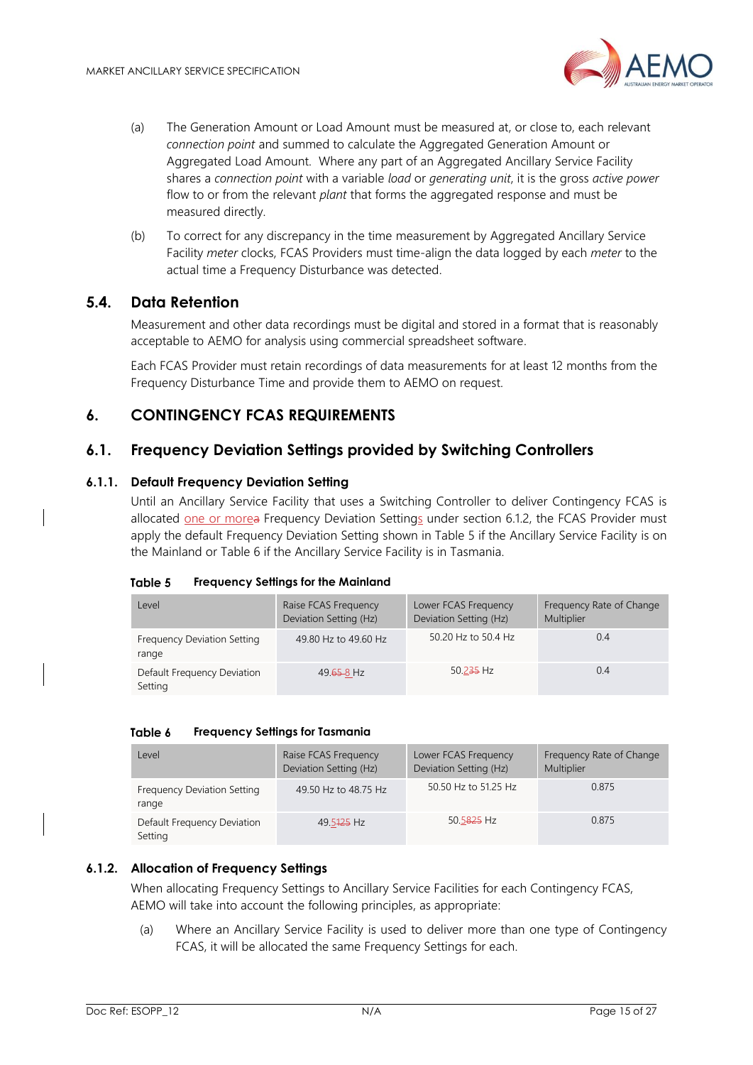

- (a) The Generation Amount or Load Amount must be measured at, or close to, each relevant *connection point* and summed to calculate the Aggregated Generation Amount or Aggregated Load Amount. Where any part of an Aggregated Ancillary Service Facility shares a *connection point* with a variable *load* or *generating unit*, it is the gross *active power* flow to or from the relevant *plant* that forms the aggregated response and must be measured directly.
- (b) To correct for any discrepancy in the time measurement by Aggregated Ancillary Service Facility *meter* clocks, FCAS Providers must time-align the data logged by each *meter* to the actual time a Frequency Disturbance was detected.

### <span id="page-14-0"></span>**5.4. Data Retention**

Measurement and other data recordings must be digital and stored in a format that is reasonably acceptable to AEMO for analysis using commercial spreadsheet software.

Each FCAS Provider must retain recordings of data measurements for at least 12 months from the Frequency Disturbance Time and provide them to AEMO on request.

### <span id="page-14-1"></span>**6. CONTINGENCY FCAS REQUIREMENTS**

### <span id="page-14-2"></span>**6.1. Frequency Deviation Settings provided by Switching Controllers**

#### **6.1.1. Default Frequency Deviation Setting**

Until an Ancillary Service Facility that uses a Switching Controller to deliver Contingency FCAS is allocated one or morea Frequency Deviation Settings under section [6.1.2,](#page-14-5) the FCAS Provider must apply the default Frequency Deviation Setting shown in [Table 5](#page-14-3) if the Ancillary Service Facility is on the Mainland or [Table 6](#page-14-4) if the Ancillary Service Facility is in Tasmania.

<span id="page-14-3"></span>

| Table 5 |                                     |  |  |
|---------|-------------------------------------|--|--|
|         | Frequency Settings for the Mainland |  |  |

| Level                                  | Raise FCAS Frequency<br>Deviation Setting (Hz) | Lower FCAS Frequency<br>Deviation Setting (Hz) | Frequency Rate of Change<br>Multiplier |
|----------------------------------------|------------------------------------------------|------------------------------------------------|----------------------------------------|
| Frequency Deviation Setting<br>range   | 49.80 Hz to 49.60 Hz                           | 50.20 Hz to 50.4 Hz                            | 0.4                                    |
| Default Frequency Deviation<br>Setting | 49.65-8 Hz                                     | 50.235 Hz                                      | 0.4                                    |

#### <span id="page-14-4"></span>Table 6 **Frequency Settings for Tasmania**

| Level                                  | Raise FCAS Frequency<br>Deviation Setting (Hz) | Lower FCAS Frequency<br>Deviation Setting (Hz) | Frequency Rate of Change<br>Multiplier |
|----------------------------------------|------------------------------------------------|------------------------------------------------|----------------------------------------|
| Frequency Deviation Setting<br>range   | 49.50 Hz to 48.75 Hz                           | 50.50 Hz to 51.25 Hz                           | 0.875                                  |
| Default Frequency Deviation<br>Setting | 49.5 <del>125</del> Hz                         | 50.5825 Hz                                     | 0.875                                  |

#### <span id="page-14-5"></span>**6.1.2. Allocation of Frequency Settings**

When allocating Frequency Settings to Ancillary Service Facilities for each Contingency FCAS, AEMO will take into account the following principles, as appropriate:

(a) Where an Ancillary Service Facility is used to deliver more than one type of Contingency FCAS, it will be allocated the same Frequency Settings for each.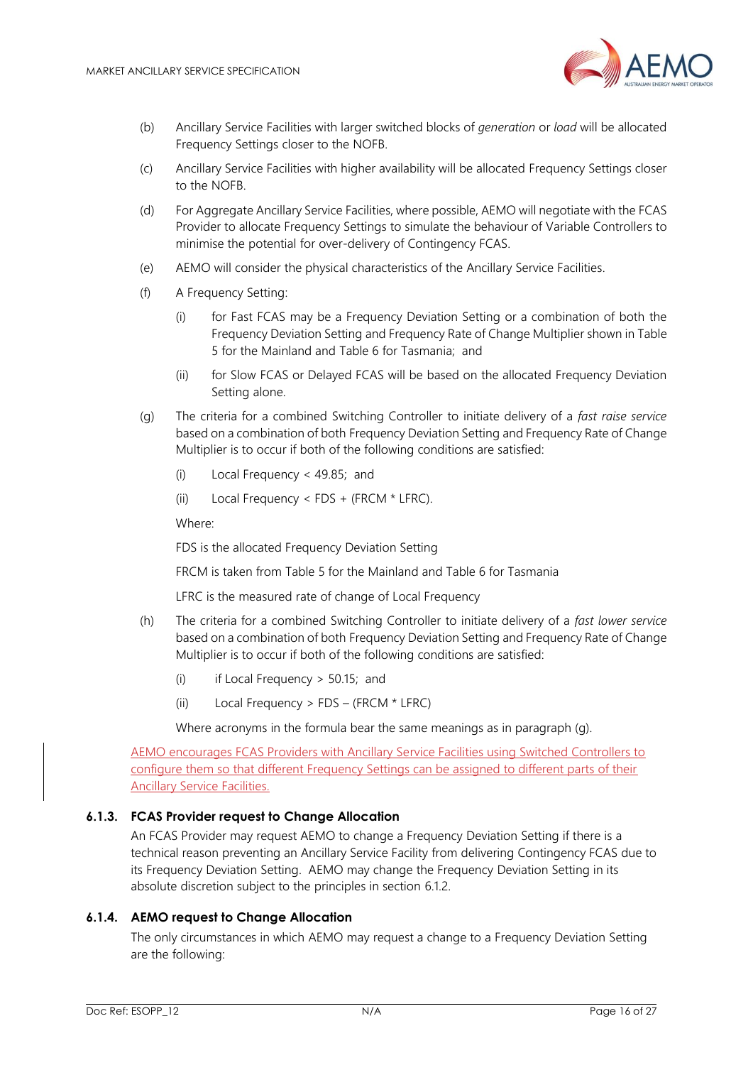

- (b) Ancillary Service Facilities with larger switched blocks of *generation* or *load* will be allocated Frequency Settings closer to the NOFB.
- (c) Ancillary Service Facilities with higher availability will be allocated Frequency Settings closer to the NOFB.
- (d) For Aggregate Ancillary Service Facilities, where possible, AEMO will negotiate with the FCAS Provider to allocate Frequency Settings to simulate the behaviour of Variable Controllers to minimise the potential for over-delivery of Contingency FCAS.
- (e) AEMO will consider the physical characteristics of the Ancillary Service Facilities.
- (f) A Frequency Setting:
	- (i) for Fast FCAS may be a Frequency Deviation Setting or a combination of both the Frequency Deviation Setting and Frequency Rate of Change Multiplier shown in [Table](#page-14-3)  [5](#page-14-3) for the Mainland and [Table 6](#page-14-4) for Tasmania; and
	- (ii) for Slow FCAS or Delayed FCAS will be based on the allocated Frequency Deviation Setting alone.
- (g) The criteria for a combined Switching Controller to initiate delivery of a *fast raise service* based on a combination of both Frequency Deviation Setting and Frequency Rate of Change Multiplier is to occur if both of the following conditions are satisfied:
	- (i) Local Frequency < 49.85; and
	- (ii) Local Frequency  $\lt$  FDS + (FRCM  $\star$  LFRC).

Where:

FDS is the allocated Frequency Deviation Setting

FRCM is taken from [Table 5](#page-14-3) for the Mainland an[d Table 6](#page-14-4) for Tasmania

LFRC is the measured rate of change of Local Frequency

- (h) The criteria for a combined Switching Controller to initiate delivery of a *fast lower service* based on a combination of both Frequency Deviation Setting and Frequency Rate of Change Multiplier is to occur if both of the following conditions are satisfied:
	- (i) if Local Frequency  $>$  50.15; and
	- (ii) Local Frequency > FDS (FRCM \* LFRC)

Where acronyms in the formula bear the same meanings as in paragraph (g).

AEMO encourages FCAS Providers with Ancillary Service Facilities using Switched Controllers to configure them so that different Frequency Settings can be assigned to different parts of their Ancillary Service Facilities.

#### **6.1.3. FCAS Provider request to Change Allocation**

An FCAS Provider may request AEMO to change a Frequency Deviation Setting if there is a technical reason preventing an Ancillary Service Facility from delivering Contingency FCAS due to its Frequency Deviation Setting. AEMO may change the Frequency Deviation Setting in its absolute discretion subject to the principles in section [6.1.2.](#page-14-5)

#### **6.1.4. AEMO request to Change Allocation**

The only circumstances in which AEMO may request a change to a Frequency Deviation Setting are the following: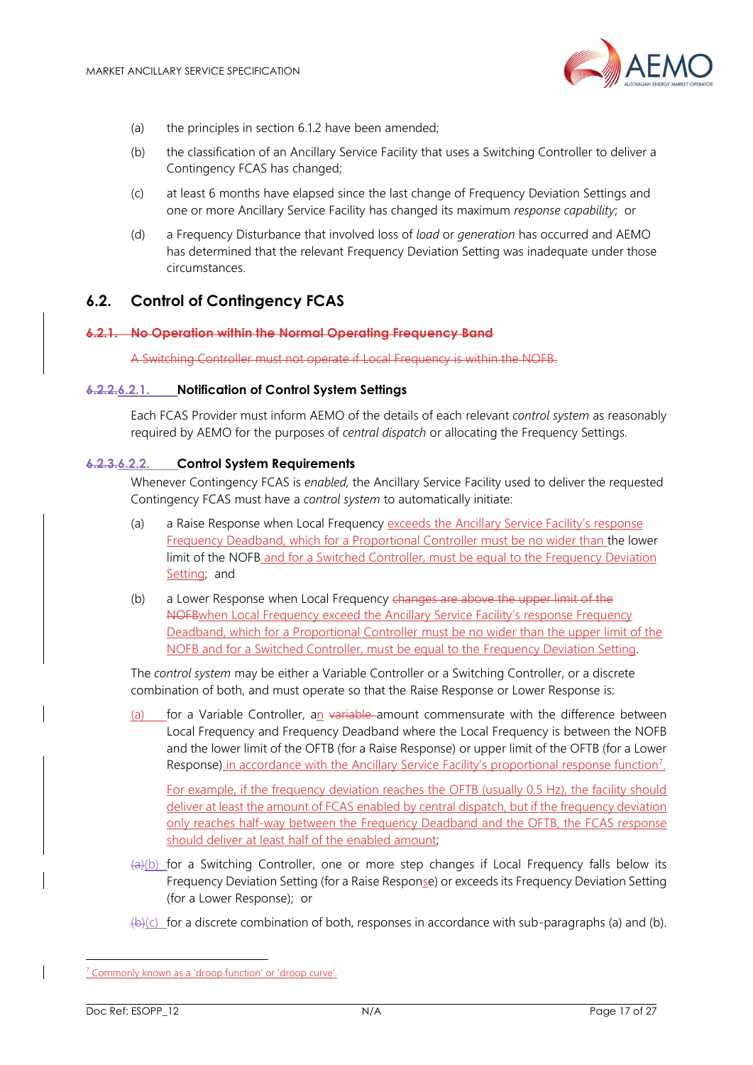

- (a) the principles in section [6.1.2](#page-14-5) have been amended;
- (b) the classification of an Ancillary Service Facility that uses a Switching Controller to deliver a Contingency FCAS has changed;
- (c) at least 6 months have elapsed since the last change of Frequency Deviation Settings and one or more Ancillary Service Facility has changed its maximum *response capability*; or
- (d) a Frequency Disturbance that involved loss of *load* or *generation* has occurred and AEMO has determined that the relevant Frequency Deviation Setting was inadequate under those circumstances.

### <span id="page-16-0"></span>**6.2. Control of Contingency FCAS**

#### **6.2.1. No Operation within the Normal Operating Frequency Band**

A Switching Controller must not operate if Local Frequency is within the NOFB.

#### **6.2.2.6.2.1. Notification of Control System Settings**

Each FCAS Provider must inform AEMO of the details of each relevant *control system* as reasonably required by AEMO for the purposes of *central dispatch* or allocating the Frequency Settings.

#### **6.2.3.6.2.2. Control System Requirements**

Whenever Contingency FCAS is *enabled,* the Ancillary Service Facility used to deliver the requested Contingency FCAS must have a *control system* to automatically initiate:

- (a) a Raise Response when Local Frequency exceeds the Ancillary Service Facility's response Frequency Deadband, which for a Proportional Controller must be no wider than the lower limit of the NOFB and for a Switched Controller, must be equal to the Frequency Deviation Setting; and
- (b) a Lower Response when Local Frequency changes are above the upper limit of the NOFBwhen Local Frequency exceed the Ancillary Service Facility's response Frequency Deadband, which for a Proportional Controller must be no wider than the upper limit of the NOFB and for a Switched Controller, must be equal to the Frequency Deviation Setting.

The *control system* may be either a Variable Controller or a Switching Controller, or a discrete combination of both, and must operate so that the Raise Response or Lower Response is:

(a) for a Variable Controller, an variable amount commensurate with the difference between Local Frequency and Frequency Deadband where the Local Frequency is between the NOFB and the lower limit of the OFTB (for a Raise Response) or upper limit of the OFTB (for a Lower Response) in accordance with the Ancillary Service Facility's proportional response function<sup>7</sup>.

For example, if the frequency deviation reaches the OFTB (usually 0.5 Hz), the facility should deliver at least the amount of FCAS enabled by central dispatch, but if the frequency deviation only reaches half-way between the Frequency Deadband and the OFTB, the FCAS response should deliver at least half of the enabled amount;

- $\left(\frac{a}{c}\right)$  for a Switching Controller, one or more step changes if Local Frequency falls below its Frequency Deviation Setting (for a Raise Response) or exceeds its Frequency Deviation Setting (for a Lower Response); or
- $(\bigoplus)(c)$  for a discrete combination of both, responses in accordance with sub-paragraphs (a) and (b).

<sup>&</sup>lt;sup>7</sup> Commonly known as a 'droop function' or 'droop curve'.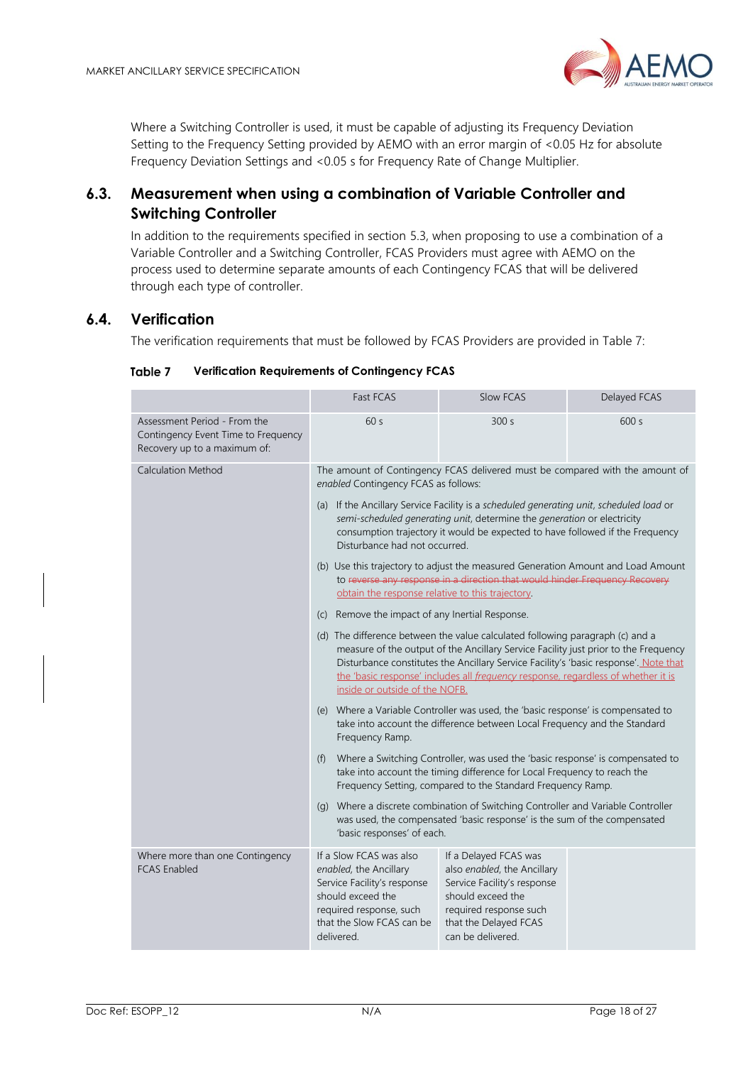

Where a Switching Controller is used, it must be capable of adjusting its Frequency Deviation Setting to the Frequency Setting provided by AEMO with an error margin of <0.05 Hz for absolute Frequency Deviation Settings and <0.05 s for Frequency Rate of Change Multiplier.

### <span id="page-17-0"></span>**6.3. Measurement when using a combination of Variable Controller and Switching Controller**

In addition to the requirements specified in section [5.3,](#page-13-0) when proposing to use a combination of a Variable Controller and a Switching Controller, FCAS Providers must agree with AEMO on the process used to determine separate amounts of each Contingency FCAS that will be delivered through each type of controller.

### <span id="page-17-2"></span><span id="page-17-1"></span>**6.4. Verification**

The verification requirements that must be followed by FCAS Providers are provided in [Table 7:](#page-17-2)

|                                                                                                                                                                                                                                                                                                                                                                                     | Fast FCAS                                                                                                                                                                                                                                                                            | Slow FCAS                                                                                                                                                                        | Delayed FCAS |  |
|-------------------------------------------------------------------------------------------------------------------------------------------------------------------------------------------------------------------------------------------------------------------------------------------------------------------------------------------------------------------------------------|--------------------------------------------------------------------------------------------------------------------------------------------------------------------------------------------------------------------------------------------------------------------------------------|----------------------------------------------------------------------------------------------------------------------------------------------------------------------------------|--------------|--|
| Assessment Period - From the<br>Contingency Event Time to Frequency<br>Recovery up to a maximum of:                                                                                                                                                                                                                                                                                 | 60s                                                                                                                                                                                                                                                                                  | 300s                                                                                                                                                                             | 600 s        |  |
| <b>Calculation Method</b>                                                                                                                                                                                                                                                                                                                                                           | The amount of Contingency FCAS delivered must be compared with the amount of<br>enabled Contingency FCAS as follows:                                                                                                                                                                 |                                                                                                                                                                                  |              |  |
|                                                                                                                                                                                                                                                                                                                                                                                     | (a) If the Ancillary Service Facility is a scheduled generating unit, scheduled load or<br>semi-scheduled generating unit, determine the generation or electricity<br>consumption trajectory it would be expected to have followed if the Frequency<br>Disturbance had not occurred. |                                                                                                                                                                                  |              |  |
|                                                                                                                                                                                                                                                                                                                                                                                     | (b) Use this trajectory to adjust the measured Generation Amount and Load Amount<br>to reverse any response in a direction that would hinder Frequency Recovery<br>obtain the response relative to this trajectory.                                                                  |                                                                                                                                                                                  |              |  |
|                                                                                                                                                                                                                                                                                                                                                                                     | (c) Remove the impact of any Inertial Response.                                                                                                                                                                                                                                      |                                                                                                                                                                                  |              |  |
| (d) The difference between the value calculated following paragraph (c) and a<br>measure of the output of the Ancillary Service Facility just prior to the Frequency<br>Disturbance constitutes the Ancillary Service Facility's 'basic response'. Note that<br>the 'basic response' includes all frequency response, regardless of whether it is<br>inside or outside of the NOFB. |                                                                                                                                                                                                                                                                                      |                                                                                                                                                                                  |              |  |
|                                                                                                                                                                                                                                                                                                                                                                                     | (e) Where a Variable Controller was used, the 'basic response' is compensated to<br>take into account the difference between Local Frequency and the Standard<br>Frequency Ramp.                                                                                                     |                                                                                                                                                                                  |              |  |
| Where a Switching Controller, was used the 'basic response' is compensated to<br>(f)<br>take into account the timing difference for Local Frequency to reach the<br>Frequency Setting, compared to the Standard Frequency Ramp.                                                                                                                                                     |                                                                                                                                                                                                                                                                                      |                                                                                                                                                                                  |              |  |
|                                                                                                                                                                                                                                                                                                                                                                                     | (g) Where a discrete combination of Switching Controller and Variable Controller<br>was used, the compensated 'basic response' is the sum of the compensated<br>'basic responses' of each.                                                                                           |                                                                                                                                                                                  |              |  |
| Where more than one Contingency<br><b>FCAS Enabled</b>                                                                                                                                                                                                                                                                                                                              | If a Slow FCAS was also<br>enabled, the Ancillary<br>Service Facility's response<br>should exceed the<br>required response, such<br>that the Slow FCAS can be<br>delivered.                                                                                                          | If a Delayed FCAS was<br>also enabled, the Ancillary<br>Service Facility's response<br>should exceed the<br>required response such<br>that the Delayed FCAS<br>can be delivered. |              |  |

#### Table 7 **Verification Requirements of Contingency FCAS**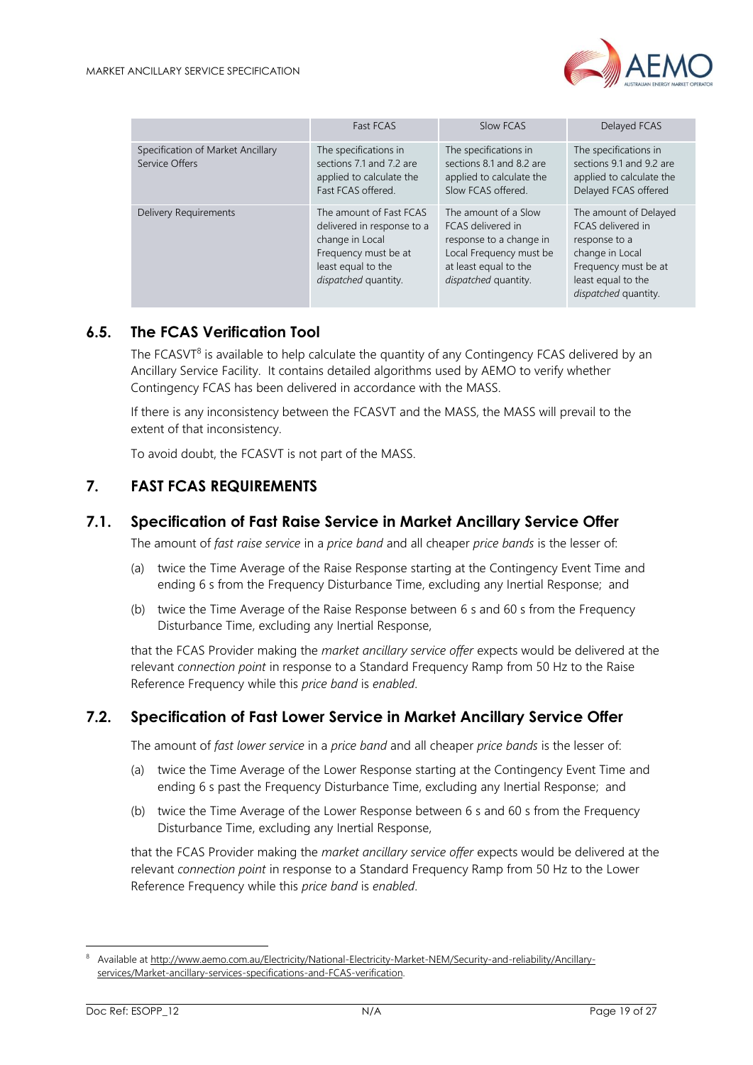

|                                                     | Fast FCAS                                                                                                                                      | Slow FCAS                                                                                                                                        | Delayed FCAS                                                                                                                                         |
|-----------------------------------------------------|------------------------------------------------------------------------------------------------------------------------------------------------|--------------------------------------------------------------------------------------------------------------------------------------------------|------------------------------------------------------------------------------------------------------------------------------------------------------|
| Specification of Market Ancillary<br>Service Offers | The specifications in<br>sections 7.1 and 7.2 are<br>applied to calculate the<br>Fast FCAS offered.                                            | The specifications in<br>sections 8.1 and 8.2 are<br>applied to calculate the<br>Slow FCAS offered.                                              | The specifications in<br>sections 9.1 and 9.2 are<br>applied to calculate the<br>Delayed FCAS offered                                                |
| <b>Delivery Requirements</b>                        | The amount of Fast FCAS<br>delivered in response to a<br>change in Local<br>Frequency must be at<br>least equal to the<br>dispatched quantity. | The amount of a Slow<br>FCAS delivered in<br>response to a change in<br>Local Frequency must be<br>at least equal to the<br>dispatched quantity. | The amount of Delayed<br>FCAS delivered in<br>response to a<br>change in Local<br>Frequency must be at<br>least equal to the<br>dispatched quantity. |

### <span id="page-18-0"></span>**6.5. The FCAS Verification Tool**

The FCASVT<sup>8</sup> is available to help calculate the quantity of any Contingency FCAS delivered by an Ancillary Service Facility. It contains detailed algorithms used by AEMO to verify whether Contingency FCAS has been delivered in accordance with the MASS.

If there is any inconsistency between the FCASVT and the MASS, the MASS will prevail to the extent of that inconsistency.

To avoid doubt, the FCASVT is not part of the MASS.

### <span id="page-18-1"></span>**7. FAST FCAS REQUIREMENTS**

### <span id="page-18-2"></span>**7.1. Specification of Fast Raise Service in Market Ancillary Service Offer**

The amount of *fast raise service* in a *price band* and all cheaper *price bands* is the lesser of:

- (a) twice the Time Average of the Raise Response starting at the Contingency Event Time and ending 6 s from the Frequency Disturbance Time, excluding any Inertial Response; and
- (b) twice the Time Average of the Raise Response between 6 s and 60 s from the Frequency Disturbance Time, excluding any Inertial Response,

that the FCAS Provider making the *market ancillary service offer* expects would be delivered at the relevant *connection point* in response to a Standard Frequency Ramp from 50 Hz to the Raise Reference Frequency while this *price band* is *enabled*.

### <span id="page-18-3"></span>**7.2. Specification of Fast Lower Service in Market Ancillary Service Offer**

The amount of *fast lower service* in a *price band* and all cheaper *price bands* is the lesser of:

- (a) twice the Time Average of the Lower Response starting at the Contingency Event Time and ending 6 s past the Frequency Disturbance Time, excluding any Inertial Response; and
- (b) twice the Time Average of the Lower Response between 6 s and 60 s from the Frequency Disturbance Time, excluding any Inertial Response,

that the FCAS Provider making the *market ancillary service offer* expects would be delivered at the relevant *connection point* in response to a Standard Frequency Ramp from 50 Hz to the Lower Reference Frequency while this *price band* is *enabled*.

<sup>8</sup> Available a[t http://www.aemo.com.au/Electricity/National-Electricity-Market-NEM/Security-and-reliability/Ancillary](http://www.aemo.com.au/Electricity/National-Electricity-Market-NEM/Security-and-reliability/Ancillary-services/Market-ancillary-services-specifications-and-FCAS-verification)[services/Market-ancillary-services-specifications-and-FCAS-verification.](http://www.aemo.com.au/Electricity/National-Electricity-Market-NEM/Security-and-reliability/Ancillary-services/Market-ancillary-services-specifications-and-FCAS-verification)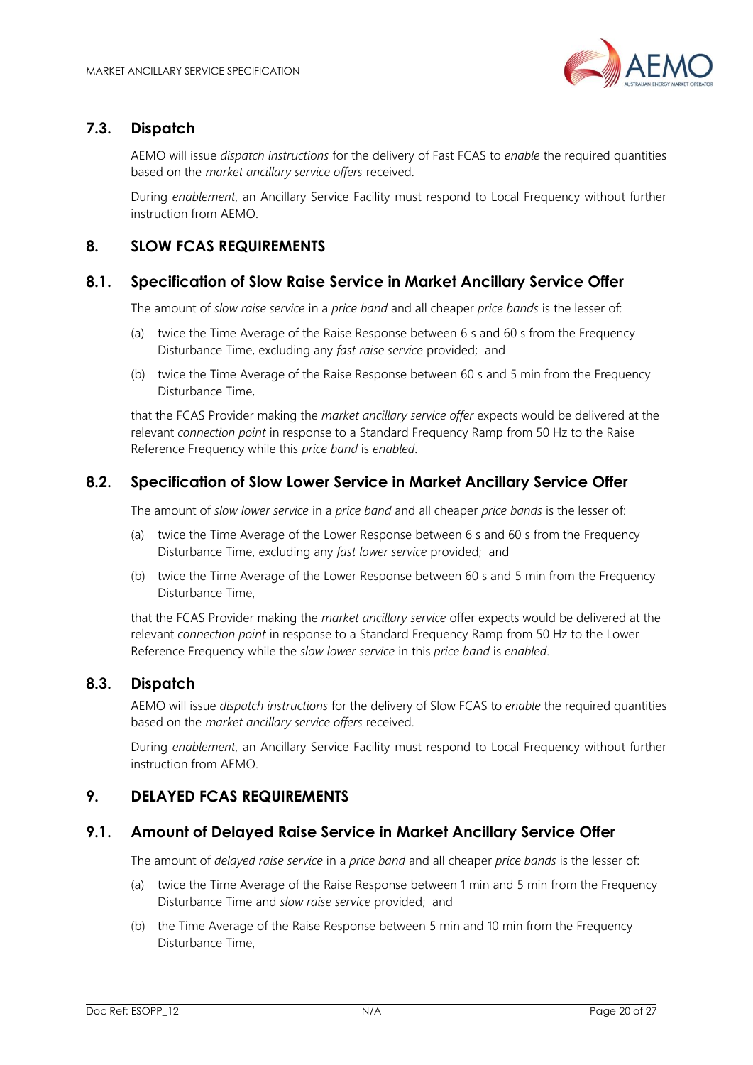

### <span id="page-19-0"></span>**7.3. Dispatch**

AEMO will issue *dispatch instructions* for the delivery of Fast FCAS to *enable* the required quantities based on the *market ancillary service offers* received.

During *enablement*, an Ancillary Service Facility must respond to Local Frequency without further instruction from AEMO.

### <span id="page-19-1"></span>**8. SLOW FCAS REQUIREMENTS**

### <span id="page-19-2"></span>**8.1. Specification of Slow Raise Service in Market Ancillary Service Offer**

The amount of *slow raise service* in a *price band* and all cheaper *price bands* is the lesser of:

- (a) twice the Time Average of the Raise Response between 6 s and 60 s from the Frequency Disturbance Time, excluding any *fast raise service* provided; and
- (b) twice the Time Average of the Raise Response between 60 s and 5 min from the Frequency Disturbance Time,

that the FCAS Provider making the *market ancillary service offer* expects would be delivered at the relevant *connection point* in response to a Standard Frequency Ramp from 50 Hz to the Raise Reference Frequency while this *price band* is *enabled*.

### <span id="page-19-3"></span>**8.2. Specification of Slow Lower Service in Market Ancillary Service Offer**

The amount of *slow lower service* in a *price band* and all cheaper *price bands* is the lesser of:

- (a) twice the Time Average of the Lower Response between 6 s and 60 s from the Frequency Disturbance Time, excluding any *fast lower service* provided; and
- (b) twice the Time Average of the Lower Response between 60 s and 5 min from the Frequency Disturbance Time,

that the FCAS Provider making the *market ancillary service* offer expects would be delivered at the relevant *connection point* in response to a Standard Frequency Ramp from 50 Hz to the Lower Reference Frequency while the *slow lower service* in this *price band* is *enabled*.

#### <span id="page-19-4"></span>**8.3. Dispatch**

AEMO will issue *dispatch instructions* for the delivery of Slow FCAS to *enable* the required quantities based on the *market ancillary service offers* received.

During *enablement*, an Ancillary Service Facility must respond to Local Frequency without further instruction from AEMO.

### <span id="page-19-5"></span>**9. DELAYED FCAS REQUIREMENTS**

#### <span id="page-19-6"></span>**9.1. Amount of Delayed Raise Service in Market Ancillary Service Offer**

The amount of *delayed raise service* in a *price band* and all cheaper *price bands* is the lesser of:

- (a) twice the Time Average of the Raise Response between 1 min and 5 min from the Frequency Disturbance Time and *slow raise service* provided; and
- (b) the Time Average of the Raise Response between 5 min and 10 min from the Frequency Disturbance Time,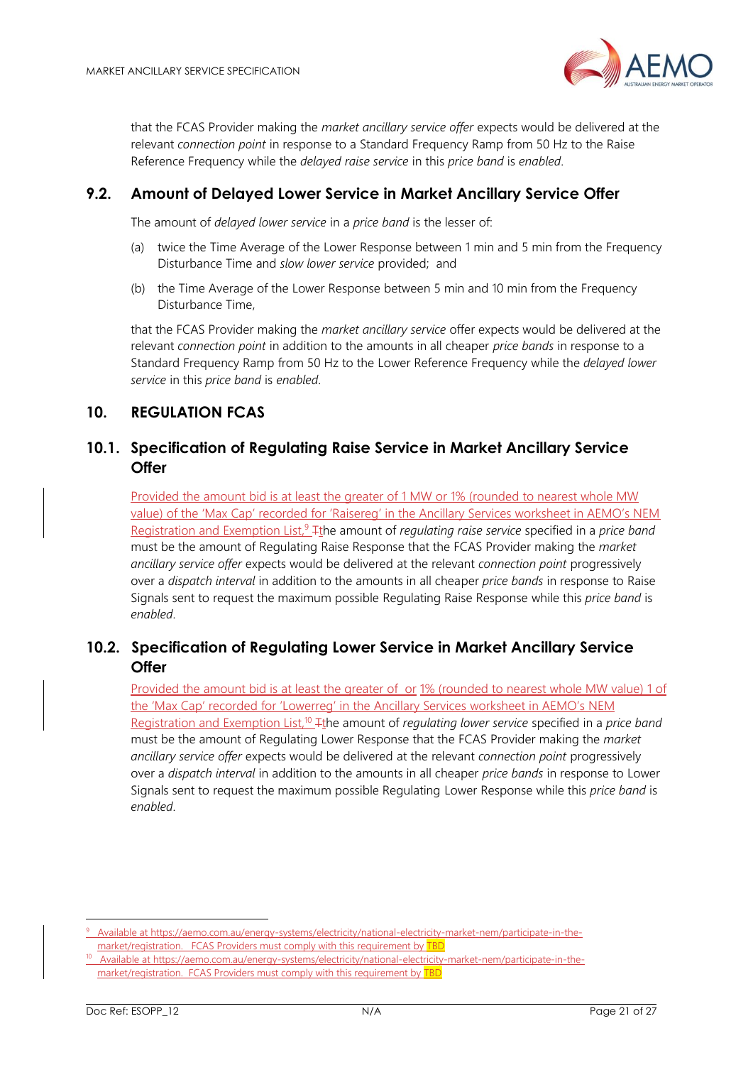

that the FCAS Provider making the *market ancillary service offer* expects would be delivered at the relevant *connection point* in response to a Standard Frequency Ramp from 50 Hz to the Raise Reference Frequency while the *delayed raise service* in this *price band* is *enabled*.

### <span id="page-20-0"></span>**9.2. Amount of Delayed Lower Service in Market Ancillary Service Offer**

The amount of *delayed lower service* in a *price band* is the lesser of:

- (a) twice the Time Average of the Lower Response between 1 min and 5 min from the Frequency Disturbance Time and *slow lower service* provided; and
- (b) the Time Average of the Lower Response between 5 min and 10 min from the Frequency Disturbance Time,

that the FCAS Provider making the *market ancillary service* offer expects would be delivered at the relevant *connection point* in addition to the amounts in all cheaper *price bands* in response to a Standard Frequency Ramp from 50 Hz to the Lower Reference Frequency while the *delayed lower service* in this *price band* is *enabled*.

### <span id="page-20-1"></span>**10. REGULATION FCAS**

### <span id="page-20-2"></span>**10.1. Specification of Regulating Raise Service in Market Ancillary Service Offer**

Provided the amount bid is at least the greater of 1 MW or 1% (rounded to nearest whole MW value) of the 'Max Cap' recorded for 'Raisereg' in the Ancillary Services worksheet in AEMO's NEM Registration and Exemption List,<sup>9</sup> <sub>The amount of *regulating raise service* specified in a *price band*</sub> must be the amount of Regulating Raise Response that the FCAS Provider making the *market ancillary service offer* expects would be delivered at the relevant *connection point* progressively over a *dispatch interval* in addition to the amounts in all cheaper *price bands* in response to Raise Signals sent to request the maximum possible Regulating Raise Response while this *price band* is *enabled*.

### <span id="page-20-3"></span>**10.2. Specification of Regulating Lower Service in Market Ancillary Service Offer**

Provided the amount bid is at least the greater of or 1% (rounded to nearest whole MW value) 1 of the 'Max Cap' recorded for 'Lowerreg' in the Ancillary Services worksheet in AEMO's NEM Registration and Exemption List,<sup>10</sup> <sup>T</sup>the amount of *regulating lower service* specified in a *price band* must be the amount of Regulating Lower Response that the FCAS Provider making the *market ancillary service offer* expects would be delivered at the relevant *connection point* progressively over a *dispatch interval* in addition to the amounts in all cheaper *price bands* in response to Lower Signals sent to request the maximum possible Regulating Lower Response while this *price band* is *enabled*.

<sup>9</sup> Available a[t https://aemo.com.au/energy-systems/electricity/national-electricity-market-nem/participate-in-the](https://aemo.com.au/energy-systems/electricity/national-electricity-market-nem/participate-in-the-market/registration)[market/registration.](https://aemo.com.au/energy-systems/electricity/national-electricity-market-nem/participate-in-the-market/registration) FCAS Providers must comply with this requirement by TBD

<sup>10</sup> Available at [https://aemo.com.au/energy-systems/electricity/national-electricity-market-nem/participate-in-the](https://aemo.com.au/energy-systems/electricity/national-electricity-market-nem/participate-in-the-market/registration)[market/registration.](https://aemo.com.au/energy-systems/electricity/national-electricity-market-nem/participate-in-the-market/registration) FCAS Providers must comply with this requirement by TBD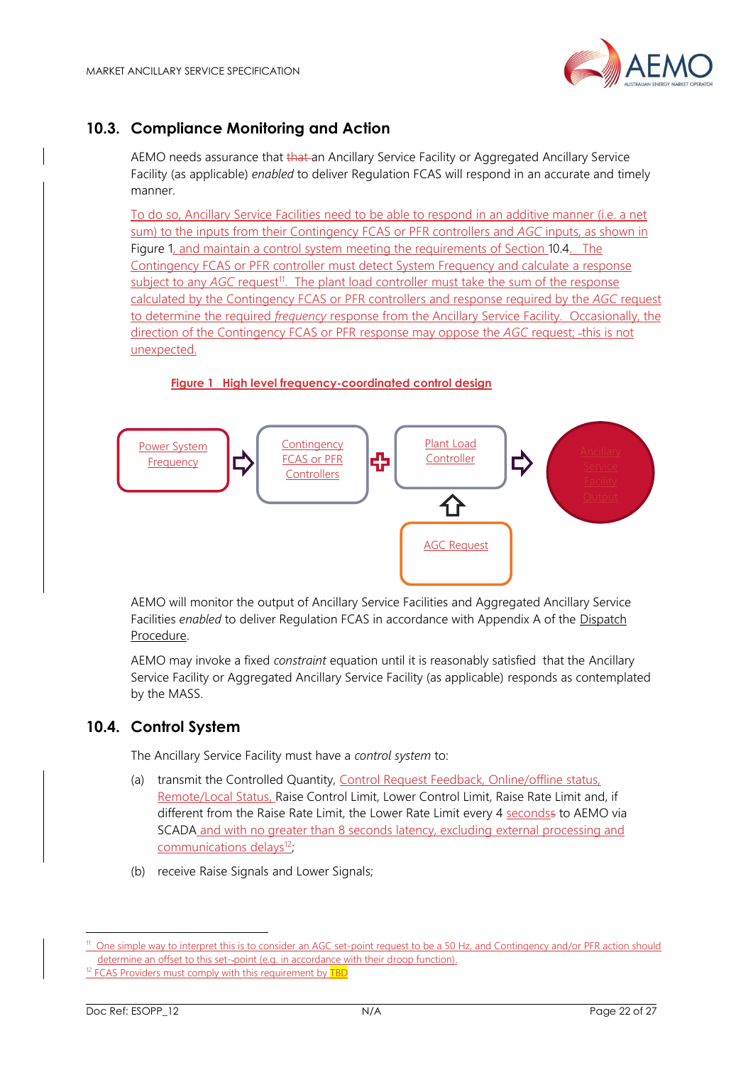

## <span id="page-21-0"></span>**10.3. Compliance Monitoring and Action**

AEMO needs assurance that that an Ancillary Service Facility or Aggregated Ancillary Service Facility (as applicable) *enabled* to deliver Regulation FCAS will respond in an accurate and timely manner.

To do so, Ancillary Service Facilities need to be able to respond in an additive manner (i.e. a net sum) to the inputs from their Contingency FCAS or PFR controllers and *AGC* inputs, as shown in [Figure 1,](#page-21-2) and maintain a control system meeting the requirements of Section [10.4.](#page-21-1) The Contingency FCAS or PFR controller must detect System Frequency and calculate a response subject to any *AGC* request<sup>11</sup>. The plant load controller must take the sum of the response calculated by the Contingency FCAS or PFR controllers and response required by the *AGC* request to determine the required *frequency* response from the Ancillary Service Facility. Occasionally, the direction of the Contingency FCAS or PFR response may oppose the *AGC* request; -this is not unexpected.

#### **Figure 1 High level frequency-coordinated control design**

<span id="page-21-2"></span>

AEMO will monitor the output of Ancillary Service Facilities and Aggregated Ancillary Service Facilities *enabled* to deliver Regulation FCAS in accordance with Appendix A of the [Dispatch](http://aemo.com.au/-/media/Files/Electricity/NEM/Security_and_Reliability/Power_System_Ops/Procedures/SO_OP_3705---Dispatch.pdf)  [Procedure.](http://aemo.com.au/-/media/Files/Electricity/NEM/Security_and_Reliability/Power_System_Ops/Procedures/SO_OP_3705---Dispatch.pdf)

AEMO may invoke a fixed *constraint* equation until it is reasonably satisfied that the Ancillary Service Facility or Aggregated Ancillary Service Facility (as applicable) responds as contemplated by the MASS.

### <span id="page-21-1"></span>**10.4. Control System**

The Ancillary Service Facility must have a *control system* to:

- (a) transmit the Controlled Quantity, Control Request Feedback, Online/offline status, Remote/Local Status, Raise Control Limit, Lower Control Limit, Raise Rate Limit and, if different from the Raise Rate Limit, the Lower Rate Limit every 4 secondss to AEMO via SCADA and with no greater than 8 seconds latency, excluding external processing and communications delays<sup>12</sup>;
- (b) receive Raise Signals and Lower Signals;

<sup>&</sup>lt;sup>11</sup> One simple way to interpret this is to consider an AGC set-point request to be a 50 Hz, and Contingency and/or PFR action should determine an offset to this set--point (e.g. in accordance with their droop function).

<sup>&</sup>lt;sup>12</sup> FCAS Providers must comply with this requirement by **TBD**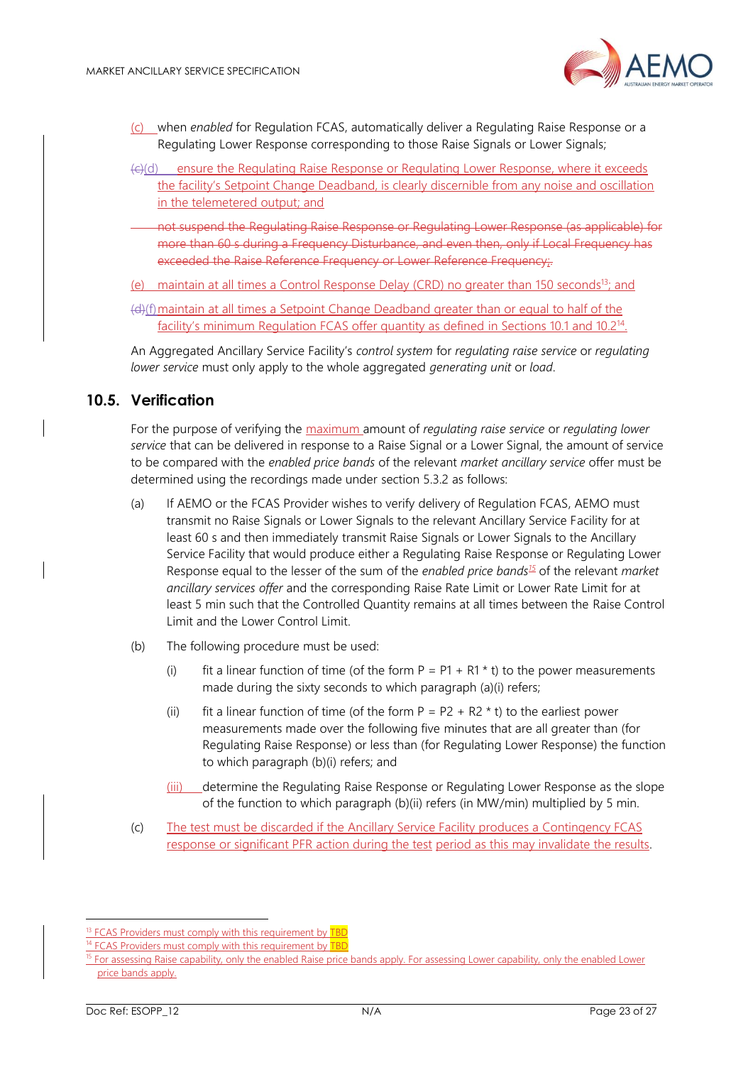

- (c) when *enabled* for Regulation FCAS, automatically deliver a Regulating Raise Response or a Regulating Lower Response corresponding to those Raise Signals or Lower Signals;
- (c)(d) ensure the Regulating Raise Response or Regulating Lower Response, where it exceeds the facility's Setpoint Change Deadband, is clearly discernible from any noise and oscillation in the telemetered output; and
- not suspend the Regulating Raise Response or Regulating Lower Response (as applicable) for more than 60 s during a Frequency Disturbance, and even then, only if Local Frequency has exceeded the Raise Reference Frequency or Lower Reference Frequency;.
- (e) maintain at all times a Control Response Delay (CRD) no greater than 150 seconds<sup>13</sup>; and
- (d)(f)maintain at all times a Setpoint Change Deadband greater than or equal to half of the facility's minimum Regulation FCAS offer quantity as defined in Sections 10.1 and 10.2<sup>14</sup>.

An Aggregated Ancillary Service Facility's *control system* for *regulating raise service* or *regulating lower service* must only apply to the whole aggregated *generating unit* or *load*.

### <span id="page-22-0"></span>**10.5. Verification**

For the purpose of verifying the maximum amount of *regulating raise service* or *regulating lower service* that can be delivered in response to a Raise Signal or a Lower Signal, the amount of service to be compared with the *enabled price bands* of the relevant *market ancillary service* offer must be determined using the recordings made under section [5.3.2](#page-13-2) as follows:

- (a) If AEMO or the FCAS Provider wishes to verify delivery of Regulation FCAS, AEMO must transmit no Raise Signals or Lower Signals to the relevant Ancillary Service Facility for at least 60 s and then immediately transmit Raise Signals or Lower Signals to the Ancillary Service Facility that would produce either a Regulating Raise Response or Regulating Lower Response equal to the lesser of the sum of the *enabled price bands<sup>15</sup>* of the relevant *market ancillary services offer* and the corresponding Raise Rate Limit or Lower Rate Limit for at least 5 min such that the Controlled Quantity remains at all times between the Raise Control Limit and the Lower Control Limit.
- (b) The following procedure must be used:
	- (i) fit a linear function of time (of the form  $P = P1 + R1 * t$ ) to the power measurements made during the sixty seconds to which paragraph (a)(i) refers;
	- (ii) fit a linear function of time (of the form  $P = P2 + R2 * t$ ) to the earliest power measurements made over the following five minutes that are all greater than (for Regulating Raise Response) or less than (for Regulating Lower Response) the function to which paragraph (b)(i) refers; and
	- (iii) determine the Regulating Raise Response or Regulating Lower Response as the slope of the function to which paragraph (b)(ii) refers (in MW/min) multiplied by 5 min.
- (c) The test must be discarded if the Ancillary Service Facility produces a Contingency FCAS response or significant PFR action during the test period as this may invalidate the results.

<sup>&</sup>lt;sup>13</sup> FCAS Providers must comply with this requirement by **TBD** 

<sup>&</sup>lt;sup>14</sup> FCAS Providers must comply with this requirement by **TBD** 

<sup>&</sup>lt;sup>15</sup> For assessing Raise capability, only the enabled Raise price bands apply. For assessing Lower capability, only the enabled Lower price bands apply.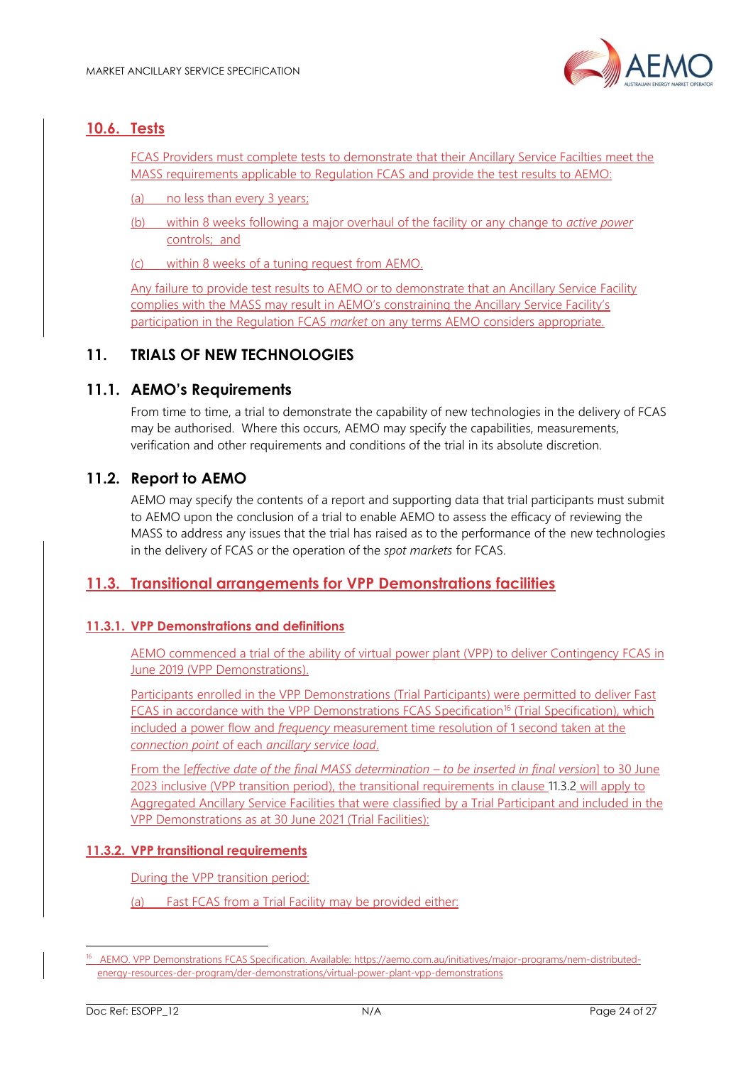

### <span id="page-23-0"></span>**10.6. Tests**

FCAS Providers must complete tests to demonstrate that their Ancillary Service Facilties meet the MASS requirements applicable to Regulation FCAS and provide the test results to AEMO:

(a) no less than every 3 years;

(b) within 8 weeks following a major overhaul of the facility or any change to *active power* controls; and

(c) within 8 weeks of a tuning request from AEMO.

Any failure to provide test results to AEMO or to demonstrate that an Ancillary Service Facility complies with the MASS may result in AEMO's constraining the Ancillary Service Facility's participation in the Regulation FCAS *market* on any terms AEMO considers appropriate.

### **11. TRIALS OF NEW TECHNOLOGIES**

### <span id="page-23-1"></span>**11.1. AEMO's Requirements**

From time to time, a trial to demonstrate the capability of new technologies in the delivery of FCAS may be authorised. Where this occurs, AEMO may specify the capabilities, measurements, verification and other requirements and conditions of the trial in its absolute discretion.

### <span id="page-23-2"></span>**11.2. Report to AEMO**

AEMO may specify the contents of a report and supporting data that trial participants must submit to AEMO upon the conclusion of a trial to enable AEMO to assess the efficacy of reviewing the MASS to address any issues that the trial has raised as to the performance of the new technologies in the delivery of FCAS or the operation of the *spot markets* for FCAS.

### **11.3. Transitional arrangements for VPP Demonstrations facilities**

#### **11.3.1. VPP Demonstrations and definitions**

AEMO commenced a trial of the ability of virtual power plant (VPP) to deliver Contingency FCAS in June 2019 (VPP Demonstrations).

Participants enrolled in the VPP Demonstrations (Trial Participants) were permitted to deliver Fast FCAS in accordance with the VPP Demonstrations FCAS Specification<sup>16</sup> (Trial Specification), which included a power flow and *frequency* measurement time resolution of 1 second taken at the *connection point* of each *ancillary service load*.

From the [*effective date of the final MASS determination – to be inserted in final version*] to 30 June 2023 inclusive (VPP transition period), the transitional requirements in clause [11.3.2](#page-23-3) will apply to Aggregated Ancillary Service Facilities that were classified by a Trial Participant and included in the VPP Demonstrations as at 30 June 2021 (Trial Facilities):

#### <span id="page-23-3"></span>**11.3.2. VPP transitional requirements**

During the VPP transition period:

(a) Fast FCAS from a Trial Facility may be provided either:

<sup>&</sup>lt;sup>16</sup> AEMO. VPP Demonstrations FCAS Specification. Available: [https://aemo.com.au/initiatives/major-programs/nem-distributed](https://aemo.com.au/initiatives/major-programs/nem-distributed-energy-resources-der-program/der-demonstrations/virtual-power-plant-vpp-demonstrations)[energy-resources-der-program/der-demonstrations/virtual-power-plant-vpp-demonstrations](https://aemo.com.au/initiatives/major-programs/nem-distributed-energy-resources-der-program/der-demonstrations/virtual-power-plant-vpp-demonstrations)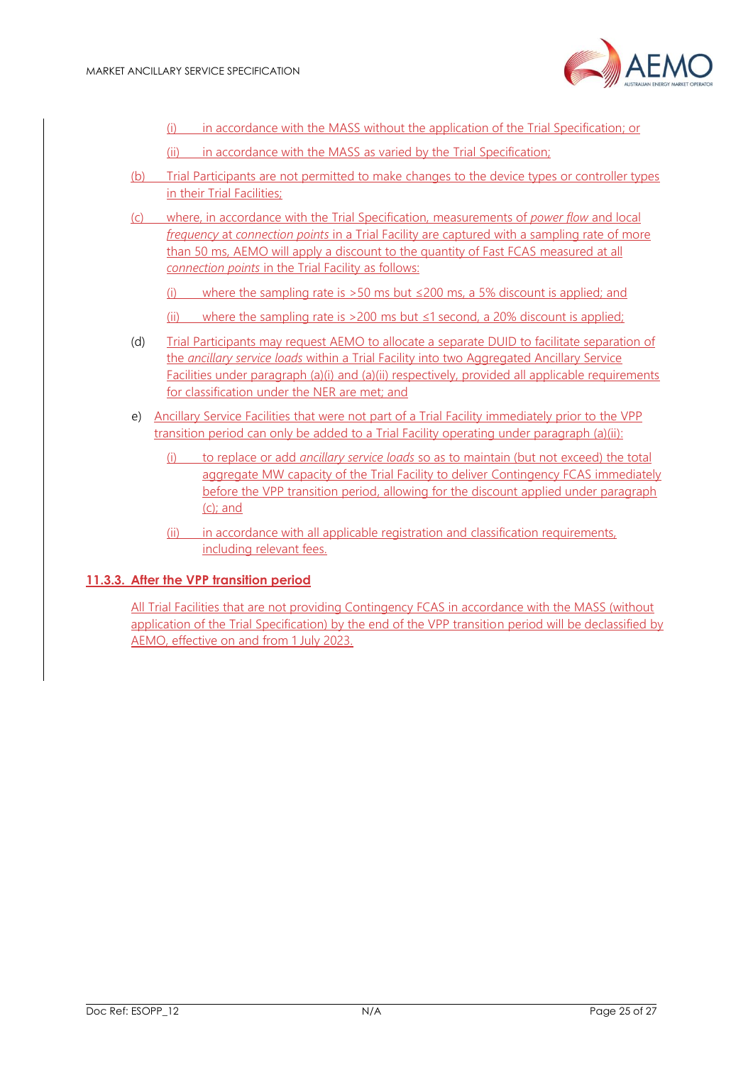

- (i) in accordance with the MASS without the application of the Trial Specification; or
- (ii) in accordance with the MASS as varied by the Trial Specification:
- (b) Trial Participants are not permitted to make changes to the device types or controller types in their Trial Facilities;
- (c) where, in accordance with the Trial Specification, measurements of *power flow* and local *frequency* at *connection points* in a Trial Facility are captured with a sampling rate of more than 50 ms, AEMO will apply a discount to the quantity of Fast FCAS measured at all *connection points* in the Trial Facility as follows:
	- (i) where the sampling rate is  $>50$  ms but  $\leq$  200 ms, a 5% discount is applied; and
	- (ii) where the sampling rate is  $>200$  ms but  $\leq 1$  second, a 20% discount is applied;
- (d) Trial Participants may request AEMO to allocate a separate DUID to facilitate separation of the *ancillary service loads* within a Trial Facility into two Aggregated Ancillary Service Facilities under paragraph (a)(i) and (a)(ii) respectively, provided all applicable requirements for classification under the NER are met; and
- e) Ancillary Service Facilities that were not part of a Trial Facility immediately prior to the VPP transition period can only be added to a Trial Facility operating under paragraph (a)(ii):
	- (i) to replace or add *ancillary service loads* so as to maintain (but not exceed) the total aggregate MW capacity of the Trial Facility to deliver Contingency FCAS immediately before the VPP transition period, allowing for the discount applied under paragraph  $(c)$ ; and
	- (ii) in accordance with all applicable registration and classification requirements, including relevant fees.

#### **11.3.3. After the VPP transition period**

All Trial Facilities that are not providing Contingency FCAS in accordance with the MASS (without application of the Trial Specification) by the end of the VPP transition period will be declassified by AEMO, effective on and from 1 July 2023.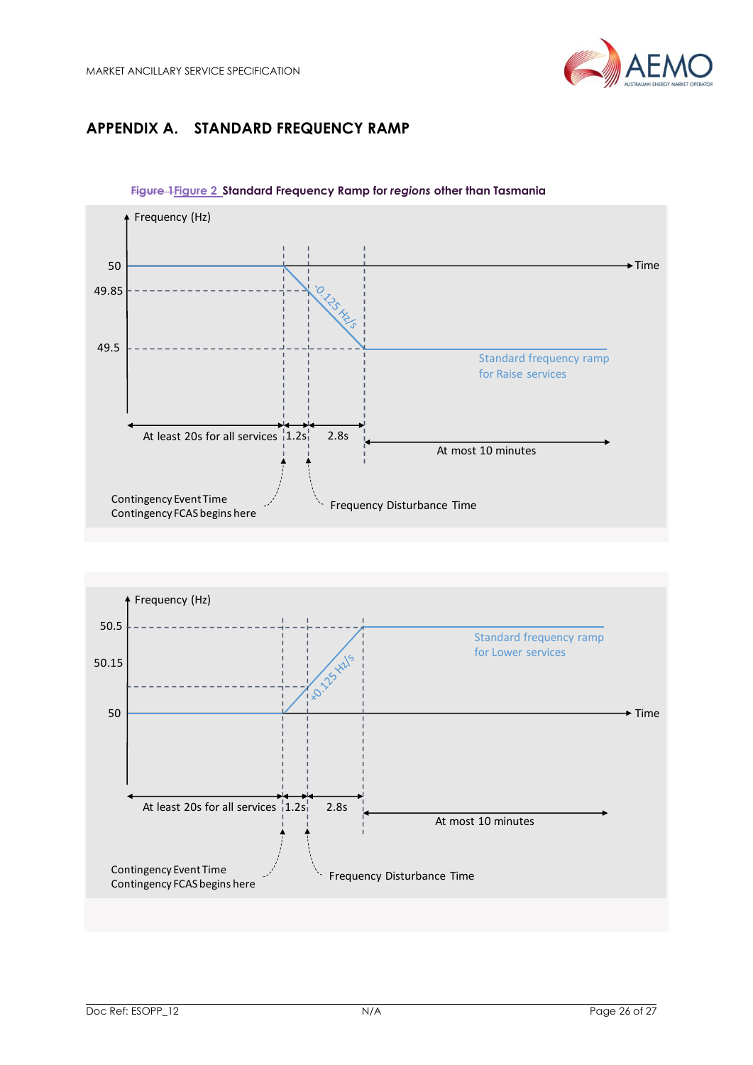

# <span id="page-25-0"></span>**APPENDIX A. STANDARD FREQUENCY RAMP**

<span id="page-25-1"></span>

**Figure 1Figure 2 Standard Frequency Ramp for** *regions* **other than Tasmania**